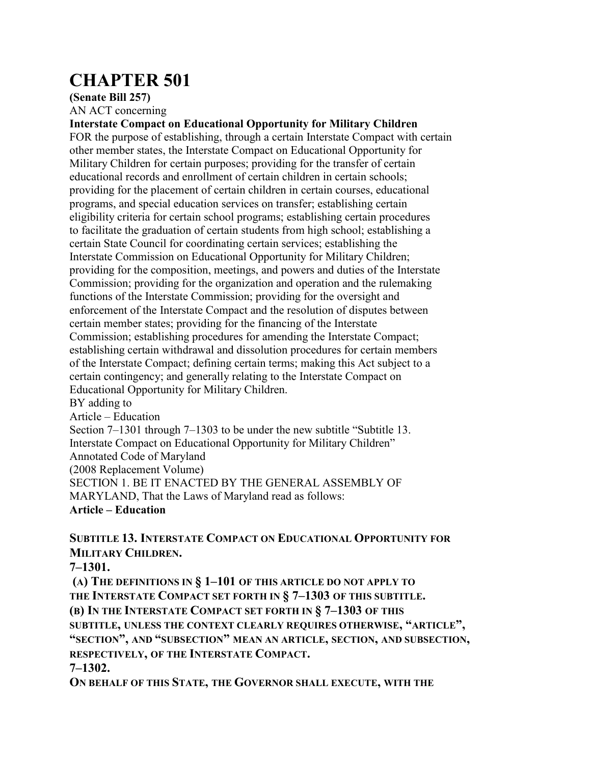# **CHAPTER 501**

**(Senate Bill 257)**

AN ACT concerning

**Interstate Compact on Educational Opportunity for Military Children** FOR the purpose of establishing, through a certain Interstate Compact with certain other member states, the Interstate Compact on Educational Opportunity for Military Children for certain purposes; providing for the transfer of certain educational records and enrollment of certain children in certain schools; providing for the placement of certain children in certain courses, educational programs, and special education services on transfer; establishing certain eligibility criteria for certain school programs; establishing certain procedures to facilitate the graduation of certain students from high school; establishing a certain State Council for coordinating certain services; establishing the Interstate Commission on Educational Opportunity for Military Children; providing for the composition, meetings, and powers and duties of the Interstate Commission; providing for the organization and operation and the rulemaking functions of the Interstate Commission; providing for the oversight and enforcement of the Interstate Compact and the resolution of disputes between certain member states; providing for the financing of the Interstate Commission; establishing procedures for amending the Interstate Compact; establishing certain withdrawal and dissolution procedures for certain members of the Interstate Compact; defining certain terms; making this Act subject to a certain contingency; and generally relating to the Interstate Compact on Educational Opportunity for Military Children. BY adding to

Article – Education Section 7–1301 through 7–1303 to be under the new subtitle "Subtitle 13. Interstate Compact on Educational Opportunity for Military Children" Annotated Code of Maryland (2008 Replacement Volume) SECTION 1. BE IT ENACTED BY THE GENERAL ASSEMBLY OF MARYLAND, That the Laws of Maryland read as follows:

**Article – Education**

**SUBTITLE 13. INTERSTATE COMPACT ON EDUCATIONAL OPPORTUNITY FOR MILITARY CHILDREN.**

**7–1301.**

**(A) THE DEFINITIONS IN § 1–101 OF THIS ARTICLE DO NOT APPLY TO THE INTERSTATE COMPACT SET FORTH IN § 7–1303 OF THIS SUBTITLE. (B) IN THE INTERSTATE COMPACT SET FORTH IN § 7–1303 OF THIS SUBTITLE, UNLESS THE CONTEXT CLEARLY REQUIRES OTHERWISE, "ARTICLE", "SECTION", AND "SUBSECTION" MEAN AN ARTICLE, SECTION, AND SUBSECTION, RESPECTIVELY, OF THE INTERSTATE COMPACT. 7–1302.**

**ON BEHALF OF THIS STATE, THE GOVERNOR SHALL EXECUTE, WITH THE**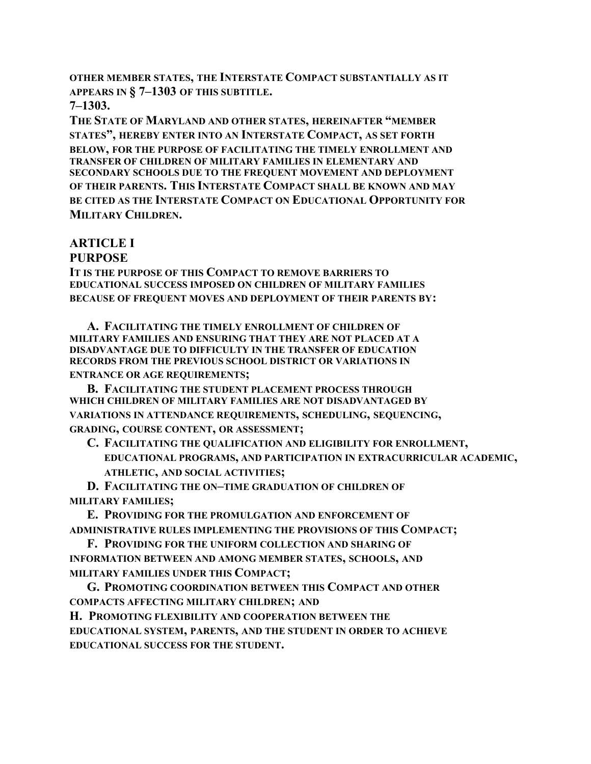**OTHER MEMBER STATES, THE INTERSTATE COMPACT SUBSTANTIALLY AS IT APPEARS IN § 7–1303 OF THIS SUBTITLE.**

**7–1303.**

**THE STATE OF MARYLAND AND OTHER STATES, HEREINAFTER "MEMBER STATES", HEREBY ENTER INTO AN INTERSTATE COMPACT, AS SET FORTH BELOW, FOR THE PURPOSE OF FACILITATING THE TIMELY ENROLLMENT AND TRANSFER OF CHILDREN OF MILITARY FAMILIES IN ELEMENTARY AND SECONDARY SCHOOLS DUE TO THE FREQUENT MOVEMENT AND DEPLOYMENT OF THEIR PARENTS. THIS INTERSTATE COMPACT SHALL BE KNOWN AND MAY BE CITED AS THE INTERSTATE COMPACT ON EDUCATIONAL OPPORTUNITY FOR MILITARY CHILDREN.**

#### **ARTICLE I PURPOSE**

**IT IS THE PURPOSE OF THIS COMPACT TO REMOVE BARRIERS TO EDUCATIONAL SUCCESS IMPOSED ON CHILDREN OF MILITARY FAMILIES BECAUSE OF FREQUENT MOVES AND DEPLOYMENT OF THEIR PARENTS BY:**

**A. FACILITATING THE TIMELY ENROLLMENT OF CHILDREN OF MILITARY FAMILIES AND ENSURING THAT THEY ARE NOT PLACED AT A DISADVANTAGE DUE TO DIFFICULTY IN THE TRANSFER OF EDUCATION RECORDS FROM THE PREVIOUS SCHOOL DISTRICT OR VARIATIONS IN ENTRANCE OR AGE REQUIREMENTS;**

**B. FACILITATING THE STUDENT PLACEMENT PROCESS THROUGH WHICH CHILDREN OF MILITARY FAMILIES ARE NOT DISADVANTAGED BY VARIATIONS IN ATTENDANCE REQUIREMENTS, SCHEDULING, SEQUENCING, GRADING, COURSE CONTENT, OR ASSESSMENT;**

**C. FACILITATING THE QUALIFICATION AND ELIGIBILITY FOR ENROLLMENT, EDUCATIONAL PROGRAMS, AND PARTICIPATION IN EXTRACURRICULAR ACADEMIC, ATHLETIC, AND SOCIAL ACTIVITIES;**

**D. FACILITATING THE ON–TIME GRADUATION OF CHILDREN OF MILITARY FAMILIES;**

**E. PROVIDING FOR THE PROMULGATION AND ENFORCEMENT OF ADMINISTRATIVE RULES IMPLEMENTING THE PROVISIONS OF THIS COMPACT;**

**F. PROVIDING FOR THE UNIFORM COLLECTION AND SHARING OF INFORMATION BETWEEN AND AMONG MEMBER STATES, SCHOOLS, AND MILITARY FAMILIES UNDER THIS COMPACT;**

**G. PROMOTING COORDINATION BETWEEN THIS COMPACT AND OTHER COMPACTS AFFECTING MILITARY CHILDREN; AND H. PROMOTING FLEXIBILITY AND COOPERATION BETWEEN THE EDUCATIONAL SYSTEM, PARENTS, AND THE STUDENT IN ORDER TO ACHIEVE EDUCATIONAL SUCCESS FOR THE STUDENT.**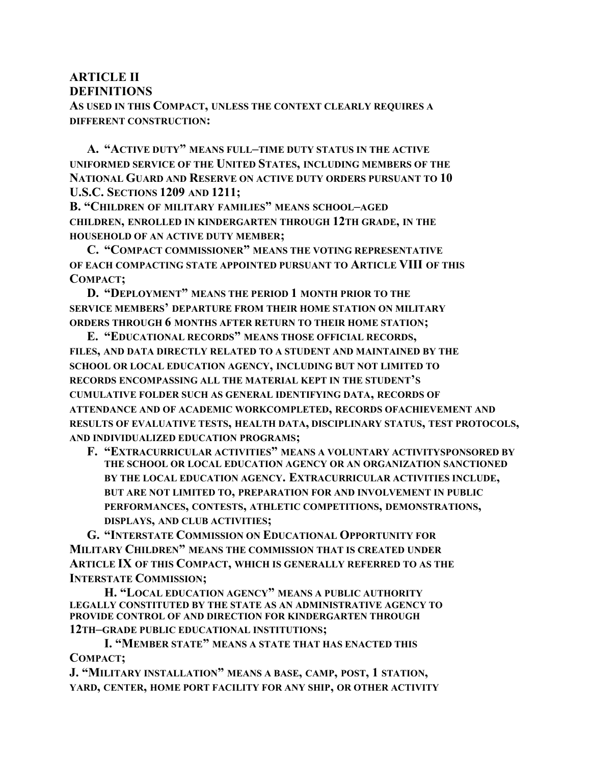# **ARTICLE II**

**DEFINITIONS**

**AS USED IN THIS COMPACT, UNLESS THE CONTEXT CLEARLY REQUIRES A DIFFERENT CONSTRUCTION:**

**A. "ACTIVE DUTY" MEANS FULL–TIME DUTY STATUS IN THE ACTIVE UNIFORMED SERVICE OF THE UNITED STATES, INCLUDING MEMBERS OF THE NATIONAL GUARD AND RESERVE ON ACTIVE DUTY ORDERS PURSUANT TO 10 U.S.C. SECTIONS 1209 AND 1211;**

**B. "CHILDREN OF MILITARY FAMILIES" MEANS SCHOOL–AGED CHILDREN, ENROLLED IN KINDERGARTEN THROUGH 12TH GRADE, IN THE HOUSEHOLD OF AN ACTIVE DUTY MEMBER;**

**C. "COMPACT COMMISSIONER" MEANS THE VOTING REPRESENTATIVE OF EACH COMPACTING STATE APPOINTED PURSUANT TO ARTICLE VIII OF THIS COMPACT;**

**D. "DEPLOYMENT" MEANS THE PERIOD 1 MONTH PRIOR TO THE SERVICE MEMBERS' DEPARTURE FROM THEIR HOME STATION ON MILITARY ORDERS THROUGH 6 MONTHS AFTER RETURN TO THEIR HOME STATION;**

**E. "EDUCATIONAL RECORDS" MEANS THOSE OFFICIAL RECORDS, FILES, AND DATA DIRECTLY RELATED TO A STUDENT AND MAINTAINED BY THE SCHOOL OR LOCAL EDUCATION AGENCY, INCLUDING BUT NOT LIMITED TO RECORDS ENCOMPASSING ALL THE MATERIAL KEPT IN THE STUDENT'S CUMULATIVE FOLDER SUCH AS GENERAL IDENTIFYING DATA, RECORDS OF ATTENDANCE AND OF ACADEMIC WORKCOMPLETED, RECORDS OFACHIEVEMENT AND RESULTS OF EVALUATIVE TESTS, HEALTH DATA, DISCIPLINARY STATUS, TEST PROTOCOLS, AND INDIVIDUALIZED EDUCATION PROGRAMS;**

**F. "EXTRACURRICULAR ACTIVITIES" MEANS A VOLUNTARY ACTIVITYSPONSORED BY THE SCHOOL OR LOCAL EDUCATION AGENCY OR AN ORGANIZATION SANCTIONED BY THE LOCAL EDUCATION AGENCY. EXTRACURRICULAR ACTIVITIES INCLUDE, BUT ARE NOT LIMITED TO, PREPARATION FOR AND INVOLVEMENT IN PUBLIC PERFORMANCES, CONTESTS, ATHLETIC COMPETITIONS, DEMONSTRATIONS, DISPLAYS, AND CLUB ACTIVITIES;**

**G. "INTERSTATE COMMISSION ON EDUCATIONAL OPPORTUNITY FOR MILITARY CHILDREN" MEANS THE COMMISSION THAT IS CREATED UNDER ARTICLE IX OF THIS COMPACT, WHICH IS GENERALLY REFERRED TO AS THE INTERSTATE COMMISSION;**

**H. "LOCAL EDUCATION AGENCY" MEANS A PUBLIC AUTHORITY LEGALLY CONSTITUTED BY THE STATE AS AN ADMINISTRATIVE AGENCY TO PROVIDE CONTROL OF AND DIRECTION FOR KINDERGARTEN THROUGH 12TH–GRADE PUBLIC EDUCATIONAL INSTITUTIONS;**

**I. "MEMBER STATE" MEANS A STATE THAT HAS ENACTED THIS COMPACT;**

**J. "MILITARY INSTALLATION" MEANS A BASE, CAMP, POST, 1 STATION, YARD, CENTER, HOME PORT FACILITY FOR ANY SHIP, OR OTHER ACTIVITY**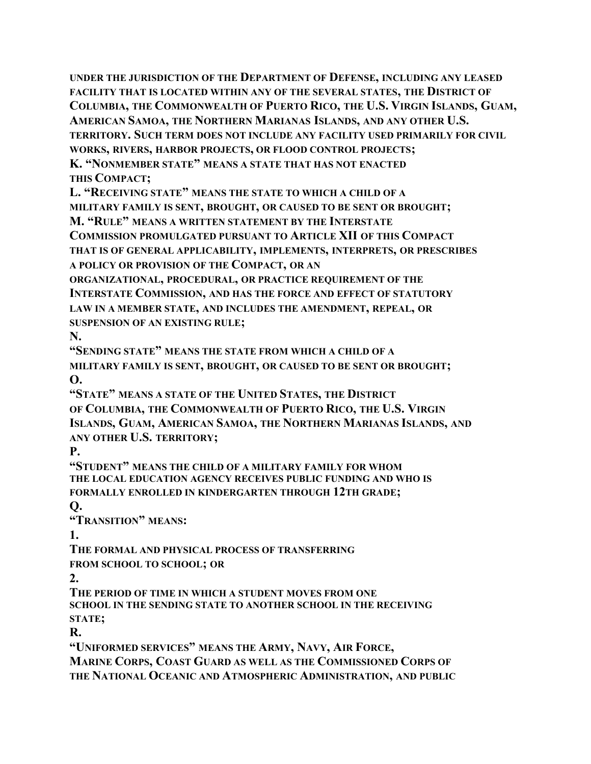**UNDER THE JURISDICTION OF THE DEPARTMENT OF DEFENSE, INCLUDING ANY LEASED FACILITY THAT IS LOCATED WITHIN ANY OF THE SEVERAL STATES, THE DISTRICT OF COLUMBIA, THE COMMONWEALTH OF PUERTO RICO, THE U.S. VIRGIN ISLANDS, GUAM, AMERICAN SAMOA, THE NORTHERN MARIANAS ISLANDS, AND ANY OTHER U.S. TERRITORY. SUCH TERM DOES NOT INCLUDE ANY FACILITY USED PRIMARILY FOR CIVIL WORKS, RIVERS, HARBOR PROJECTS, OR FLOOD CONTROL PROJECTS; K. "NONMEMBER STATE" MEANS A STATE THAT HAS NOT ENACTED THIS COMPACT;**

**L. "RECEIVING STATE" MEANS THE STATE TO WHICH A CHILD OF A MILITARY FAMILY IS SENT, BROUGHT, OR CAUSED TO BE SENT OR BROUGHT; M. "RULE" MEANS A WRITTEN STATEMENT BY THE INTERSTATE**

**COMMISSION PROMULGATED PURSUANT TO ARTICLE XII OF THIS COMPACT**

**THAT IS OF GENERAL APPLICABILITY, IMPLEMENTS, INTERPRETS, OR PRESCRIBES**

**A POLICY OR PROVISION OF THE COMPACT, OR AN**

**ORGANIZATIONAL, PROCEDURAL, OR PRACTICE REQUIREMENT OF THE INTERSTATE COMMISSION, AND HAS THE FORCE AND EFFECT OF STATUTORY LAW IN A MEMBER STATE, AND INCLUDES THE AMENDMENT, REPEAL, OR SUSPENSION OF AN EXISTING RULE;**

**N.**

**"SENDING STATE" MEANS THE STATE FROM WHICH A CHILD OF A MILITARY FAMILY IS SENT, BROUGHT, OR CAUSED TO BE SENT OR BROUGHT; O.**

**"STATE" MEANS A STATE OF THE UNITED STATES, THE DISTRICT OF COLUMBIA, THE COMMONWEALTH OF PUERTO RICO, THE U.S. VIRGIN ISLANDS, GUAM, AMERICAN SAMOA, THE NORTHERN MARIANAS ISLANDS, AND ANY OTHER U.S. TERRITORY;**

**P.**

**"STUDENT" MEANS THE CHILD OF A MILITARY FAMILY FOR WHOM THE LOCAL EDUCATION AGENCY RECEIVES PUBLIC FUNDING AND WHO IS FORMALLY ENROLLED IN KINDERGARTEN THROUGH 12TH GRADE;**

**Q.**

**"TRANSITION" MEANS:**

**1.**

**THE FORMAL AND PHYSICAL PROCESS OF TRANSFERRING FROM SCHOOL TO SCHOOL; OR**

**2.**

**THE PERIOD OF TIME IN WHICH A STUDENT MOVES FROM ONE SCHOOL IN THE SENDING STATE TO ANOTHER SCHOOL IN THE RECEIVING STATE;**

**R.**

**"UNIFORMED SERVICES" MEANS THE ARMY, NAVY, AIR FORCE, MARINE CORPS, COAST GUARD AS WELL AS THE COMMISSIONED CORPS OF THE NATIONAL OCEANIC AND ATMOSPHERIC ADMINISTRATION, AND PUBLIC**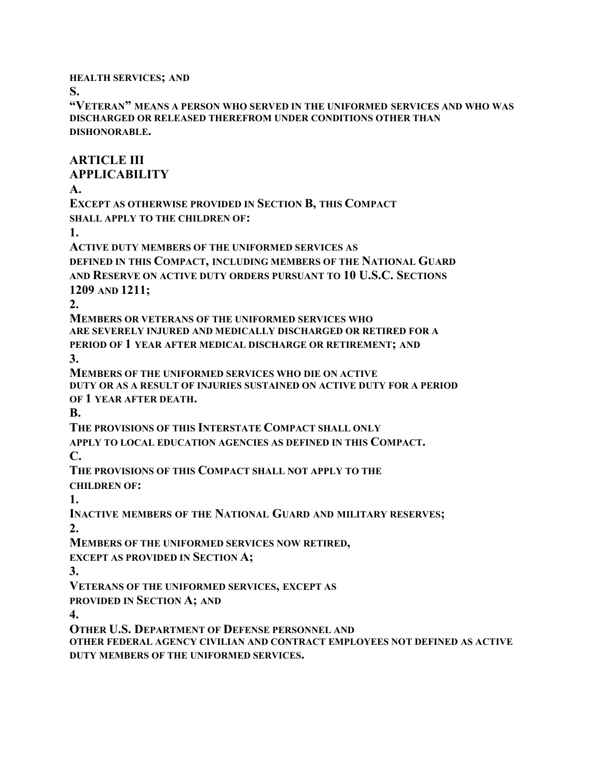**HEALTH SERVICES; AND**

**S.**

**"VETERAN" MEANS A PERSON WHO SERVED IN THE UNIFORMED SERVICES AND WHO WAS DISCHARGED OR RELEASED THEREFROM UNDER CONDITIONS OTHER THAN DISHONORABLE.**

**ARTICLE III**

**APPLICABILITY**

**A.**

**EXCEPT AS OTHERWISE PROVIDED IN SECTION B, THIS COMPACT SHALL APPLY TO THE CHILDREN OF:**

**1.**

**ACTIVE DUTY MEMBERS OF THE UNIFORMED SERVICES AS DEFINED IN THIS COMPACT, INCLUDING MEMBERS OF THE NATIONAL GUARD AND RESERVE ON ACTIVE DUTY ORDERS PURSUANT TO 10 U.S.C. SECTIONS 1209 AND 1211;**

**2.**

**MEMBERS OR VETERANS OF THE UNIFORMED SERVICES WHO ARE SEVERELY INJURED AND MEDICALLY DISCHARGED OR RETIRED FOR A PERIOD OF 1 YEAR AFTER MEDICAL DISCHARGE OR RETIREMENT; AND 3.**

**MEMBERS OF THE UNIFORMED SERVICES WHO DIE ON ACTIVE DUTY OR AS A RESULT OF INJURIES SUSTAINED ON ACTIVE DUTY FOR A PERIOD OF 1 YEAR AFTER DEATH.**

**B.**

**THE PROVISIONS OF THIS INTERSTATE COMPACT SHALL ONLY**

**APPLY TO LOCAL EDUCATION AGENCIES AS DEFINED IN THIS COMPACT.**

**C.**

**THE PROVISIONS OF THIS COMPACT SHALL NOT APPLY TO THE CHILDREN OF:**

**1.**

**INACTIVE MEMBERS OF THE NATIONAL GUARD AND MILITARY RESERVES; 2.**

**MEMBERS OF THE UNIFORMED SERVICES NOW RETIRED,**

**EXCEPT AS PROVIDED IN SECTION A;**

**3.**

**VETERANS OF THE UNIFORMED SERVICES, EXCEPT AS**

**PROVIDED IN SECTION A; AND**

**4.**

**OTHER U.S. DEPARTMENT OF DEFENSE PERSONNEL AND**

**OTHER FEDERAL AGENCY CIVILIAN AND CONTRACT EMPLOYEES NOT DEFINED AS ACTIVE DUTY MEMBERS OF THE UNIFORMED SERVICES.**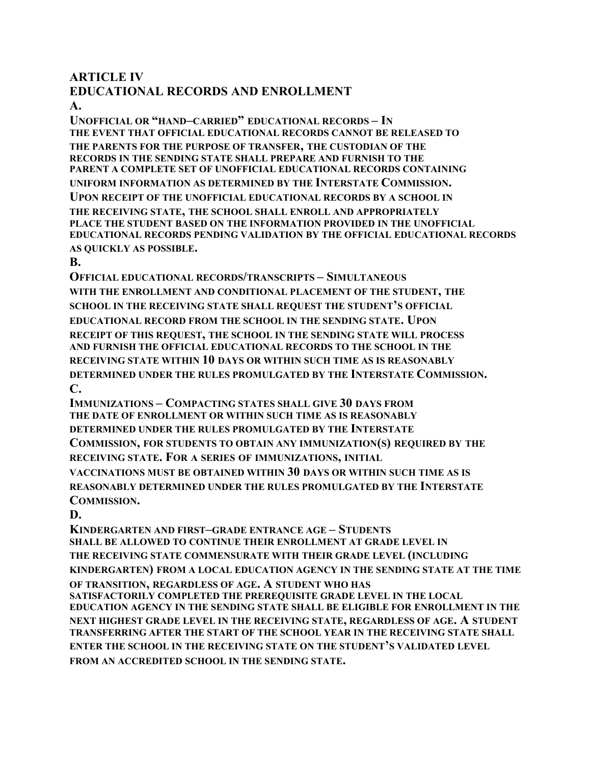### **ARTICLE IV**

# **EDUCATIONAL RECORDS AND ENROLLMENT**

**A.**

**UNOFFICIAL OR "HAND–CARRIED" EDUCATIONAL RECORDS – IN THE EVENT THAT OFFICIAL EDUCATIONAL RECORDS CANNOT BE RELEASED TO THE PARENTS FOR THE PURPOSE OF TRANSFER, THE CUSTODIAN OF THE RECORDS IN THE SENDING STATE SHALL PREPARE AND FURNISH TO THE PARENT A COMPLETE SET OF UNOFFICIAL EDUCATIONAL RECORDS CONTAINING UNIFORM INFORMATION AS DETERMINED BY THE INTERSTATE COMMISSION. UPON RECEIPT OF THE UNOFFICIAL EDUCATIONAL RECORDS BY A SCHOOL IN**

**THE RECEIVING STATE, THE SCHOOL SHALL ENROLL AND APPROPRIATELY PLACE THE STUDENT BASED ON THE INFORMATION PROVIDED IN THE UNOFFICIAL EDUCATIONAL RECORDS PENDING VALIDATION BY THE OFFICIAL EDUCATIONAL RECORDS AS QUICKLY AS POSSIBLE.**

#### **B.**

**OFFICIAL EDUCATIONAL RECORDS/TRANSCRIPTS – SIMULTANEOUS WITH THE ENROLLMENT AND CONDITIONAL PLACEMENT OF THE STUDENT, THE SCHOOL IN THE RECEIVING STATE SHALL REQUEST THE STUDENT'S OFFICIAL EDUCATIONAL RECORD FROM THE SCHOOL IN THE SENDING STATE. UPON RECEIPT OF THIS REQUEST, THE SCHOOL IN THE SENDING STATE WILL PROCESS AND FURNISH THE OFFICIAL EDUCATIONAL RECORDS TO THE SCHOOL IN THE RECEIVING STATE WITHIN 10 DAYS OR WITHIN SUCH TIME AS IS REASONABLY DETERMINED UNDER THE RULES PROMULGATED BY THE INTERSTATE COMMISSION. C.**

**IMMUNIZATIONS – COMPACTING STATES SHALL GIVE 30 DAYS FROM THE DATE OF ENROLLMENT OR WITHIN SUCH TIME AS IS REASONABLY DETERMINED UNDER THE RULES PROMULGATED BY THE INTERSTATE COMMISSION, FOR STUDENTS TO OBTAIN ANY IMMUNIZATION(S) REQUIRED BY THE RECEIVING STATE. FOR A SERIES OF IMMUNIZATIONS, INITIAL VACCINATIONS MUST BE OBTAINED WITHIN 30 DAYS OR WITHIN SUCH TIME AS IS REASONABLY DETERMINED UNDER THE RULES PROMULGATED BY THE INTERSTATE COMMISSION.**

**D.**

**KINDERGARTEN AND FIRST–GRADE ENTRANCE AGE – STUDENTS SHALL BE ALLOWED TO CONTINUE THEIR ENROLLMENT AT GRADE LEVEL IN THE RECEIVING STATE COMMENSURATE WITH THEIR GRADE LEVEL (INCLUDING KINDERGARTEN) FROM A LOCAL EDUCATION AGENCY IN THE SENDING STATE AT THE TIME OF TRANSITION, REGARDLESS OF AGE. A STUDENT WHO HAS SATISFACTORILY COMPLETED THE PREREQUISITE GRADE LEVEL IN THE LOCAL EDUCATION AGENCY IN THE SENDING STATE SHALL BE ELIGIBLE FOR ENROLLMENT IN THE NEXT HIGHEST GRADE LEVEL IN THE RECEIVING STATE, REGARDLESS OF AGE. A STUDENT TRANSFERRING AFTER THE START OF THE SCHOOL YEAR IN THE RECEIVING STATE SHALL ENTER THE SCHOOL IN THE RECEIVING STATE ON THE STUDENT'S VALIDATED LEVEL FROM AN ACCREDITED SCHOOL IN THE SENDING STATE.**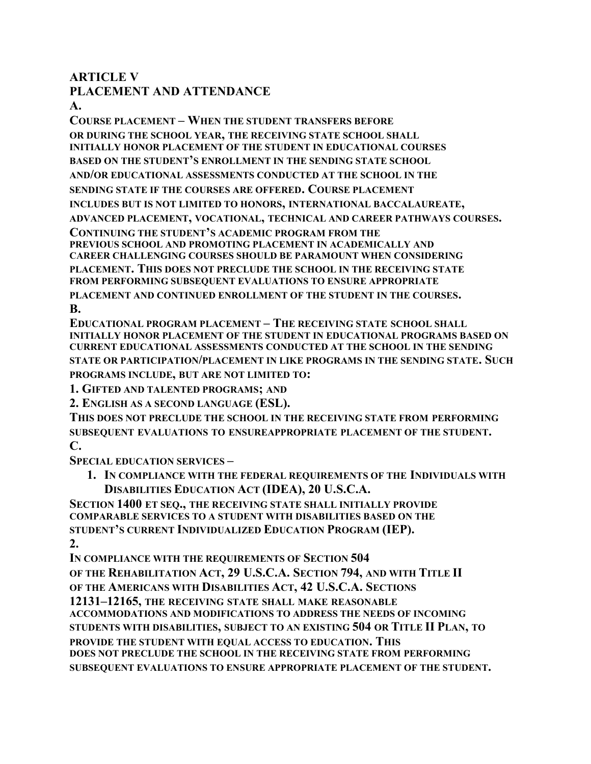### **ARTICLE V**

### **PLACEMENT AND ATTENDANCE**

**A.**

**COURSE PLACEMENT – WHEN THE STUDENT TRANSFERS BEFORE OR DURING THE SCHOOL YEAR, THE RECEIVING STATE SCHOOL SHALL INITIALLY HONOR PLACEMENT OF THE STUDENT IN EDUCATIONAL COURSES BASED ON THE STUDENT'S ENROLLMENT IN THE SENDING STATE SCHOOL AND/OR EDUCATIONAL ASSESSMENTS CONDUCTED AT THE SCHOOL IN THE SENDING STATE IF THE COURSES ARE OFFERED. COURSE PLACEMENT INCLUDES BUT IS NOT LIMITED TO HONORS, INTERNATIONAL BACCALAUREATE, ADVANCED PLACEMENT, VOCATIONAL, TECHNICAL AND CAREER PATHWAYS COURSES. CONTINUING THE STUDENT'S ACADEMIC PROGRAM FROM THE PREVIOUS SCHOOL AND PROMOTING PLACEMENT IN ACADEMICALLY AND CAREER CHALLENGING COURSES SHOULD BE PARAMOUNT WHEN CONSIDERING PLACEMENT. THIS DOES NOT PRECLUDE THE SCHOOL IN THE RECEIVING STATE FROM PERFORMING SUBSEQUENT EVALUATIONS TO ENSURE APPROPRIATE PLACEMENT AND CONTINUED ENROLLMENT OF THE STUDENT IN THE COURSES. B.**

**EDUCATIONAL PROGRAM PLACEMENT – THE RECEIVING STATE SCHOOL SHALL INITIALLY HONOR PLACEMENT OF THE STUDENT IN EDUCATIONAL PROGRAMS BASED ON CURRENT EDUCATIONAL ASSESSMENTS CONDUCTED AT THE SCHOOL IN THE SENDING STATE OR PARTICIPATION/PLACEMENT IN LIKE PROGRAMS IN THE SENDING STATE. SUCH PROGRAMS INCLUDE, BUT ARE NOT LIMITED TO:**

**1. GIFTED AND TALENTED PROGRAMS; AND**

**2. ENGLISH AS A SECOND LANGUAGE (ESL).**

**THIS DOES NOT PRECLUDE THE SCHOOL IN THE RECEIVING STATE FROM PERFORMING SUBSEQUENT EVALUATIONS TO ENSUREAPPROPRIATE PLACEMENT OF THE STUDENT. C.**

**SPECIAL EDUCATION SERVICES –**

**1. IN COMPLIANCE WITH THE FEDERAL REQUIREMENTS OF THE INDIVIDUALS WITH DISABILITIES EDUCATION ACT (IDEA), 20 U.S.C.A.**

**SECTION 1400 ET SEQ., THE RECEIVING STATE SHALL INITIALLY PROVIDE COMPARABLE SERVICES TO A STUDENT WITH DISABILITIES BASED ON THE STUDENT'S CURRENT INDIVIDUALIZED EDUCATION PROGRAM (IEP). 2.**

```
IN COMPLIANCE WITH THE REQUIREMENTS OF SECTION 504
OF THE REHABILITATION ACT, 29 U.S.C.A. SECTION 794, AND WITH TITLE II
OF THE AMERICANS WITH DISABILITIES ACT, 42 U.S.C.A. SECTIONS
12131–12165, THE RECEIVING STATE SHALL MAKE REASONABLE
ACCOMMODATIONS AND MODIFICATIONS TO ADDRESS THE NEEDS OF INCOMING
STUDENTS WITH DISABILITIES, SUBJECT TO AN EXISTING 504 OR TITLE II PLAN, TO 
PROVIDE THE STUDENT WITH EQUAL ACCESS TO EDUCATION. THIS
DOES NOT PRECLUDE THE SCHOOL IN THE RECEIVING STATE FROM PERFORMING
SUBSEQUENT EVALUATIONS TO ENSURE APPROPRIATE PLACEMENT OF THE STUDENT.
```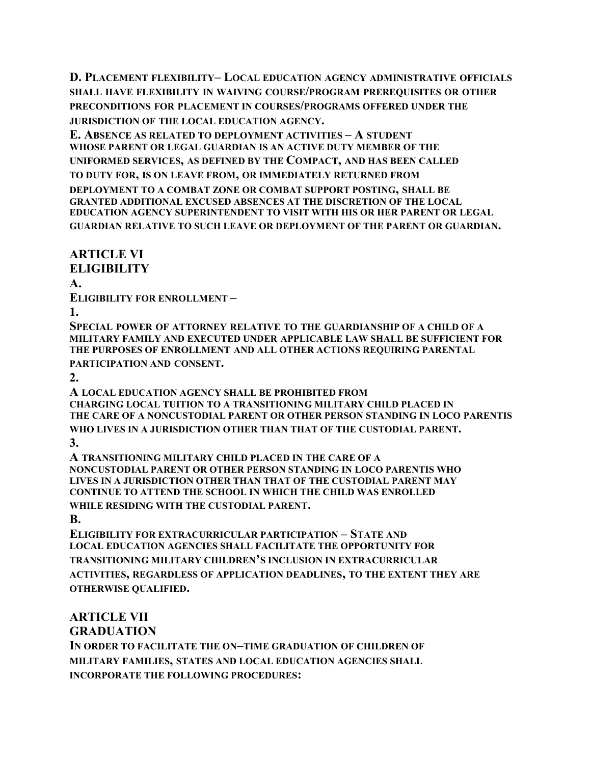**D. PLACEMENT FLEXIBILITY– LOCAL EDUCATION AGENCY ADMINISTRATIVE OFFICIALS SHALL HAVE FLEXIBILITY IN WAIVING COURSE/PROGRAM PREREQUISITES OR OTHER PRECONDITIONS FOR PLACEMENT IN COURSES/PROGRAMS OFFERED UNDER THE JURISDICTION OF THE LOCAL EDUCATION AGENCY.**

**E. ABSENCE AS RELATED TO DEPLOYMENT ACTIVITIES – A STUDENT WHOSE PARENT OR LEGAL GUARDIAN IS AN ACTIVE DUTY MEMBER OF THE UNIFORMED SERVICES, AS DEFINED BY THE COMPACT, AND HAS BEEN CALLED TO DUTY FOR, IS ON LEAVE FROM, OR IMMEDIATELY RETURNED FROM DEPLOYMENT TO A COMBAT ZONE OR COMBAT SUPPORT POSTING, SHALL BE GRANTED ADDITIONAL EXCUSED ABSENCES AT THE DISCRETION OF THE LOCAL EDUCATION AGENCY SUPERINTENDENT TO VISIT WITH HIS OR HER PARENT OR LEGAL GUARDIAN RELATIVE TO SUCH LEAVE OR DEPLOYMENT OF THE PARENT OR GUARDIAN.**

**ARTICLE VI**

**ELIGIBILITY**

**A.**

**ELIGIBILITY FOR ENROLLMENT –**

**1.**

**SPECIAL POWER OF ATTORNEY RELATIVE TO THE GUARDIANSHIP OF A CHILD OF A MILITARY FAMILY AND EXECUTED UNDER APPLICABLE LAW SHALL BE SUFFICIENT FOR THE PURPOSES OF ENROLLMENT AND ALL OTHER ACTIONS REQUIRING PARENTAL PARTICIPATION AND CONSENT.**

**2.**

**A LOCAL EDUCATION AGENCY SHALL BE PROHIBITED FROM CHARGING LOCAL TUITION TO A TRANSITIONING MILITARY CHILD PLACED IN THE CARE OF A NONCUSTODIAL PARENT OR OTHER PERSON STANDING IN LOCO PARENTIS WHO LIVES IN A JURISDICTION OTHER THAN THAT OF THE CUSTODIAL PARENT. 3.**

**A TRANSITIONING MILITARY CHILD PLACED IN THE CARE OF A NONCUSTODIAL PARENT OR OTHER PERSON STANDING IN LOCO PARENTIS WHO LIVES IN A JURISDICTION OTHER THAN THAT OF THE CUSTODIAL PARENT MAY CONTINUE TO ATTEND THE SCHOOL IN WHICH THE CHILD WAS ENROLLED WHILE RESIDING WITH THE CUSTODIAL PARENT.**

**B.**

**ELIGIBILITY FOR EXTRACURRICULAR PARTICIPATION – STATE AND LOCAL EDUCATION AGENCIES SHALL FACILITATE THE OPPORTUNITY FOR TRANSITIONING MILITARY CHILDREN'S INCLUSION IN EXTRACURRICULAR ACTIVITIES, REGARDLESS OF APPLICATION DEADLINES, TO THE EXTENT THEY ARE OTHERWISE QUALIFIED.**

## **ARTICLE VII**

**GRADUATION**

**IN ORDER TO FACILITATE THE ON–TIME GRADUATION OF CHILDREN OF MILITARY FAMILIES, STATES AND LOCAL EDUCATION AGENCIES SHALL INCORPORATE THE FOLLOWING PROCEDURES:**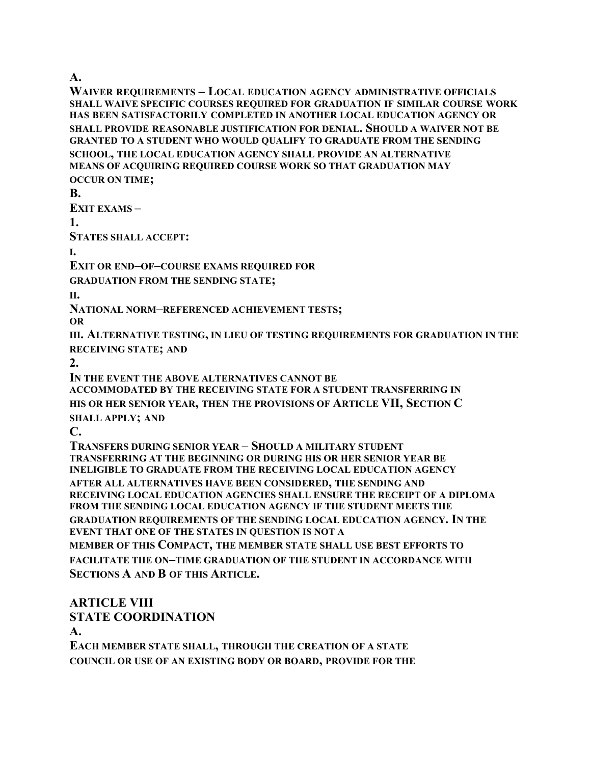**A.**

**WAIVER REQUIREMENTS – LOCAL EDUCATION AGENCY ADMINISTRATIVE OFFICIALS SHALL WAIVE SPECIFIC COURSES REQUIRED FOR GRADUATION IF SIMILAR COURSE WORK HAS BEEN SATISFACTORILY COMPLETED IN ANOTHER LOCAL EDUCATION AGENCY OR SHALL PROVIDE REASONABLE JUSTIFICATION FOR DENIAL. SHOULD A WAIVER NOT BE GRANTED TO A STUDENT WHO WOULD QUALIFY TO GRADUATE FROM THE SENDING SCHOOL, THE LOCAL EDUCATION AGENCY SHALL PROVIDE AN ALTERNATIVE MEANS OF ACQUIRING REQUIRED COURSE WORK SO THAT GRADUATION MAY OCCUR ON TIME;**

**B.**

**EXIT EXAMS –**

**1.**

**STATES SHALL ACCEPT:**

**I.**

**EXIT OR END–OF–COURSE EXAMS REQUIRED FOR**

**GRADUATION FROM THE SENDING STATE;**

**II.**

**NATIONAL NORM–REFERENCED ACHIEVEMENT TESTS;**

**OR**

**III. ALTERNATIVE TESTING, IN LIEU OF TESTING REQUIREMENTS FOR GRADUATION IN THE RECEIVING STATE; AND**

**2.**

**IN THE EVENT THE ABOVE ALTERNATIVES CANNOT BE**

**ACCOMMODATED BY THE RECEIVING STATE FOR A STUDENT TRANSFERRING IN HIS OR HER SENIOR YEAR, THEN THE PROVISIONS OF ARTICLE VII, SECTION C**

**SHALL APPLY; AND**

**C.**

**TRANSFERS DURING SENIOR YEAR – SHOULD A MILITARY STUDENT TRANSFERRING AT THE BEGINNING OR DURING HIS OR HER SENIOR YEAR BE INELIGIBLE TO GRADUATE FROM THE RECEIVING LOCAL EDUCATION AGENCY AFTER ALL ALTERNATIVES HAVE BEEN CONSIDERED, THE SENDING AND RECEIVING LOCAL EDUCATION AGENCIES SHALL ENSURE THE RECEIPT OF A DIPLOMA FROM THE SENDING LOCAL EDUCATION AGENCY IF THE STUDENT MEETS THE GRADUATION REQUIREMENTS OF THE SENDING LOCAL EDUCATION AGENCY. IN THE EVENT THAT ONE OF THE STATES IN QUESTION IS NOT A MEMBER OF THIS COMPACT, THE MEMBER STATE SHALL USE BEST EFFORTS TO FACILITATE THE ON–TIME GRADUATION OF THE STUDENT IN ACCORDANCE WITH** 

**SECTIONS A AND B OF THIS ARTICLE.**

#### **ARTICLE VIII STATE COORDINATION**

**A.**

**EACH MEMBER STATE SHALL, THROUGH THE CREATION OF A STATE COUNCIL OR USE OF AN EXISTING BODY OR BOARD, PROVIDE FOR THE**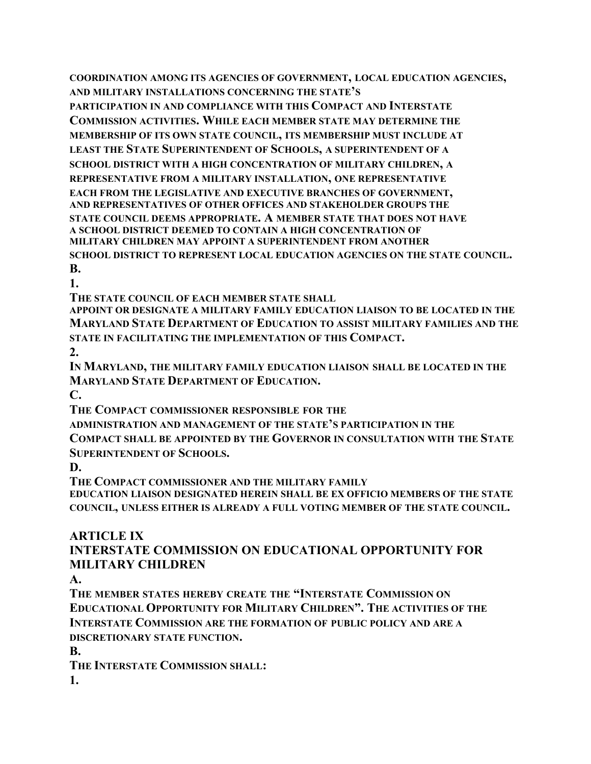**COORDINATION AMONG ITS AGENCIES OF GOVERNMENT, LOCAL EDUCATION AGENCIES, AND MILITARY INSTALLATIONS CONCERNING THE STATE'S**

**PARTICIPATION IN AND COMPLIANCE WITH THIS COMPACT AND INTERSTATE COMMISSION ACTIVITIES. WHILE EACH MEMBER STATE MAY DETERMINE THE MEMBERSHIP OF ITS OWN STATE COUNCIL, ITS MEMBERSHIP MUST INCLUDE AT LEAST THE STATE SUPERINTENDENT OF SCHOOLS, A SUPERINTENDENT OF A SCHOOL DISTRICT WITH A HIGH CONCENTRATION OF MILITARY CHILDREN, A REPRESENTATIVE FROM A MILITARY INSTALLATION, ONE REPRESENTATIVE EACH FROM THE LEGISLATIVE AND EXECUTIVE BRANCHES OF GOVERNMENT, AND REPRESENTATIVES OF OTHER OFFICES AND STAKEHOLDER GROUPS THE STATE COUNCIL DEEMS APPROPRIATE. A MEMBER STATE THAT DOES NOT HAVE A SCHOOL DISTRICT DEEMED TO CONTAIN A HIGH CONCENTRATION OF MILITARY CHILDREN MAY APPOINT A SUPERINTENDENT FROM ANOTHER SCHOOL DISTRICT TO REPRESENT LOCAL EDUCATION AGENCIES ON THE STATE COUNCIL. B.**

**1.**

**THE STATE COUNCIL OF EACH MEMBER STATE SHALL**

**APPOINT OR DESIGNATE A MILITARY FAMILY EDUCATION LIAISON TO BE LOCATED IN THE MARYLAND STATE DEPARTMENT OF EDUCATION TO ASSIST MILITARY FAMILIES AND THE STATE IN FACILITATING THE IMPLEMENTATION OF THIS COMPACT.**

**2.**

**IN MARYLAND, THE MILITARY FAMILY EDUCATION LIAISON SHALL BE LOCATED IN THE MARYLAND STATE DEPARTMENT OF EDUCATION.**

**C.**

**THE COMPACT COMMISSIONER RESPONSIBLE FOR THE**

**ADMINISTRATION AND MANAGEMENT OF THE STATE'S PARTICIPATION IN THE COMPACT SHALL BE APPOINTED BY THE GOVERNOR IN CONSULTATION WITH THE STATE SUPERINTENDENT OF SCHOOLS.**

**D.**

**THE COMPACT COMMISSIONER AND THE MILITARY FAMILY**

**EDUCATION LIAISON DESIGNATED HEREIN SHALL BE EX OFFICIO MEMBERS OF THE STATE COUNCIL, UNLESS EITHER IS ALREADY A FULL VOTING MEMBER OF THE STATE COUNCIL.**

### **ARTICLE IX**

### **INTERSTATE COMMISSION ON EDUCATIONAL OPPORTUNITY FOR MILITARY CHILDREN**

**A.**

**THE MEMBER STATES HEREBY CREATE THE "INTERSTATE COMMISSION ON EDUCATIONAL OPPORTUNITY FOR MILITARY CHILDREN". THE ACTIVITIES OF THE INTERSTATE COMMISSION ARE THE FORMATION OF PUBLIC POLICY AND ARE A DISCRETIONARY STATE FUNCTION.**

**B.**

**THE INTERSTATE COMMISSION SHALL:**

**1.**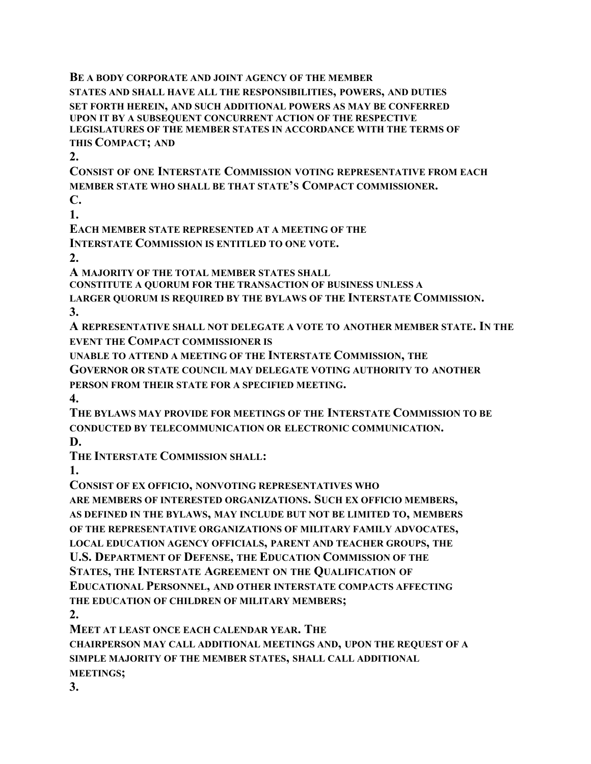**BE A BODY CORPORATE AND JOINT AGENCY OF THE MEMBER STATES AND SHALL HAVE ALL THE RESPONSIBILITIES, POWERS, AND DUTIES SET FORTH HEREIN, AND SUCH ADDITIONAL POWERS AS MAY BE CONFERRED UPON IT BY A SUBSEQUENT CONCURRENT ACTION OF THE RESPECTIVE LEGISLATURES OF THE MEMBER STATES IN ACCORDANCE WITH THE TERMS OF THIS COMPACT; AND**

**2.**

**CONSIST OF ONE INTERSTATE COMMISSION VOTING REPRESENTATIVE FROM EACH MEMBER STATE WHO SHALL BE THAT STATE'S COMPACT COMMISSIONER. C.**

**1.**

**EACH MEMBER STATE REPRESENTED AT A MEETING OF THE**

**INTERSTATE COMMISSION IS ENTITLED TO ONE VOTE.**

**2.**

**A MAJORITY OF THE TOTAL MEMBER STATES SHALL**

**CONSTITUTE A QUORUM FOR THE TRANSACTION OF BUSINESS UNLESS A**

**LARGER QUORUM IS REQUIRED BY THE BYLAWS OF THE INTERSTATE COMMISSION. 3.**

**A REPRESENTATIVE SHALL NOT DELEGATE A VOTE TO ANOTHER MEMBER STATE. IN THE EVENT THE COMPACT COMMISSIONER IS**

**UNABLE TO ATTEND A MEETING OF THE INTERSTATE COMMISSION, THE**

**GOVERNOR OR STATE COUNCIL MAY DELEGATE VOTING AUTHORITY TO ANOTHER PERSON FROM THEIR STATE FOR A SPECIFIED MEETING.**

**4.**

**THE BYLAWS MAY PROVIDE FOR MEETINGS OF THE INTERSTATE COMMISSION TO BE CONDUCTED BY TELECOMMUNICATION OR ELECTRONIC COMMUNICATION.**

**D.**

**THE INTERSTATE COMMISSION SHALL:**

**1.**

**CONSIST OF EX OFFICIO, NONVOTING REPRESENTATIVES WHO**

**ARE MEMBERS OF INTERESTED ORGANIZATIONS. SUCH EX OFFICIO MEMBERS, AS DEFINED IN THE BYLAWS, MAY INCLUDE BUT NOT BE LIMITED TO, MEMBERS OF THE REPRESENTATIVE ORGANIZATIONS OF MILITARY FAMILY ADVOCATES, LOCAL EDUCATION AGENCY OFFICIALS, PARENT AND TEACHER GROUPS, THE U.S. DEPARTMENT OF DEFENSE, THE EDUCATION COMMISSION OF THE STATES, THE INTERSTATE AGREEMENT ON THE QUALIFICATION OF EDUCATIONAL PERSONNEL, AND OTHER INTERSTATE COMPACTS AFFECTING THE EDUCATION OF CHILDREN OF MILITARY MEMBERS;**

**2.**

**MEET AT LEAST ONCE EACH CALENDAR YEAR. THE**

**CHAIRPERSON MAY CALL ADDITIONAL MEETINGS AND, UPON THE REQUEST OF A SIMPLE MAJORITY OF THE MEMBER STATES, SHALL CALL ADDITIONAL MEETINGS;**

**3.**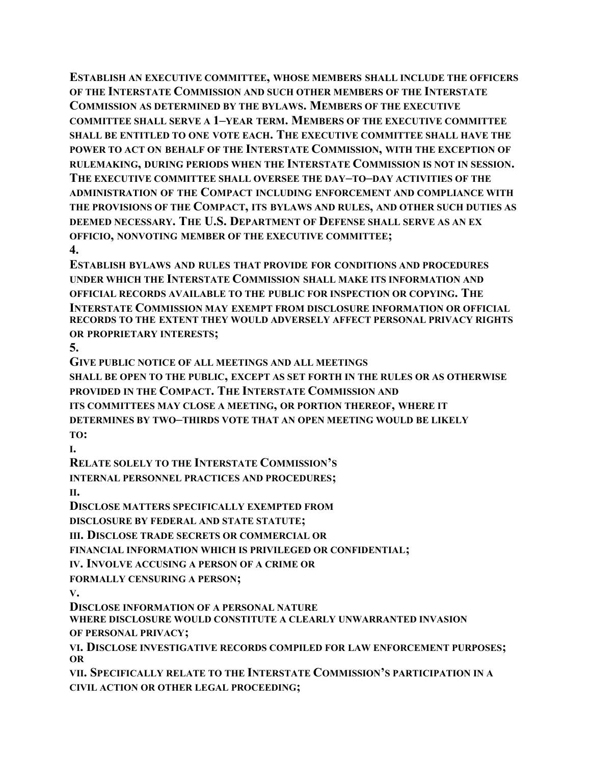**ESTABLISH AN EXECUTIVE COMMITTEE, WHOSE MEMBERS SHALL INCLUDE THE OFFICERS OF THE INTERSTATE COMMISSION AND SUCH OTHER MEMBERS OF THE INTERSTATE COMMISSION AS DETERMINED BY THE BYLAWS. MEMBERS OF THE EXECUTIVE COMMITTEE SHALL SERVE A 1–YEAR TERM. MEMBERS OF THE EXECUTIVE COMMITTEE SHALL BE ENTITLED TO ONE VOTE EACH. THE EXECUTIVE COMMITTEE SHALL HAVE THE POWER TO ACT ON BEHALF OF THE INTERSTATE COMMISSION, WITH THE EXCEPTION OF RULEMAKING, DURING PERIODS WHEN THE INTERSTATE COMMISSION IS NOT IN SESSION. THE EXECUTIVE COMMITTEE SHALL OVERSEE THE DAY–TO–DAY ACTIVITIES OF THE ADMINISTRATION OF THE COMPACT INCLUDING ENFORCEMENT AND COMPLIANCE WITH THE PROVISIONS OF THE COMPACT, ITS BYLAWS AND RULES, AND OTHER SUCH DUTIES AS DEEMED NECESSARY. THE U.S. DEPARTMENT OF DEFENSE SHALL SERVE AS AN EX OFFICIO, NONVOTING MEMBER OF THE EXECUTIVE COMMITTEE; 4.**

**ESTABLISH BYLAWS AND RULES THAT PROVIDE FOR CONDITIONS AND PROCEDURES UNDER WHICH THE INTERSTATE COMMISSION SHALL MAKE ITS INFORMATION AND OFFICIAL RECORDS AVAILABLE TO THE PUBLIC FOR INSPECTION OR COPYING. THE INTERSTATE COMMISSION MAY EXEMPT FROM DISCLOSURE INFORMATION OR OFFICIAL RECORDS TO THE EXTENT THEY WOULD ADVERSELY AFFECT PERSONAL PRIVACY RIGHTS OR PROPRIETARY INTERESTS;**

**5.**

**GIVE PUBLIC NOTICE OF ALL MEETINGS AND ALL MEETINGS**

**SHALL BE OPEN TO THE PUBLIC, EXCEPT AS SET FORTH IN THE RULES OR AS OTHERWISE PROVIDED IN THE COMPACT. THE INTERSTATE COMMISSION AND ITS COMMITTEES MAY CLOSE A MEETING, OR PORTION THEREOF, WHERE IT DETERMINES BY TWO–THIRDS VOTE THAT AN OPEN MEETING WOULD BE LIKELY TO:**

**I.**

**RELATE SOLELY TO THE INTERSTATE COMMISSION'S**

**INTERNAL PERSONNEL PRACTICES AND PROCEDURES; II.**

**DISCLOSE MATTERS SPECIFICALLY EXEMPTED FROM**

**DISCLOSURE BY FEDERAL AND STATE STATUTE;**

**III. DISCLOSE TRADE SECRETS OR COMMERCIAL OR**

**FINANCIAL INFORMATION WHICH IS PRIVILEGED OR CONFIDENTIAL;**

**IV. INVOLVE ACCUSING A PERSON OF A CRIME OR**

**FORMALLY CENSURING A PERSON;**

**V.**

**DISCLOSE INFORMATION OF A PERSONAL NATURE**

**WHERE DISCLOSURE WOULD CONSTITUTE A CLEARLY UNWARRANTED INVASION OF PERSONAL PRIVACY;**

**VI. DISCLOSE INVESTIGATIVE RECORDS COMPILED FOR LAW ENFORCEMENT PURPOSES; OR**

**VII. SPECIFICALLY RELATE TO THE INTERSTATE COMMISSION'S PARTICIPATION IN A CIVIL ACTION OR OTHER LEGAL PROCEEDING;**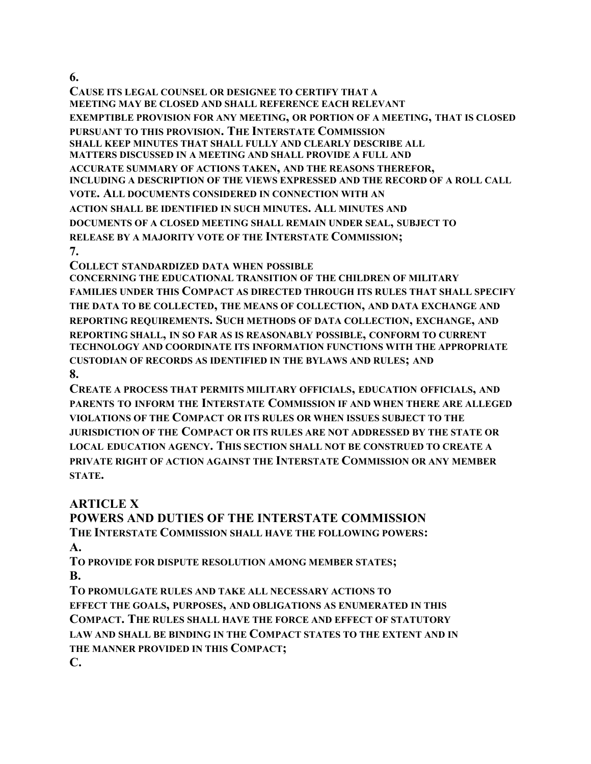**6.**

**CAUSE ITS LEGAL COUNSEL OR DESIGNEE TO CERTIFY THAT A MEETING MAY BE CLOSED AND SHALL REFERENCE EACH RELEVANT EXEMPTIBLE PROVISION FOR ANY MEETING, OR PORTION OF A MEETING, THAT IS CLOSED PURSUANT TO THIS PROVISION. THE INTERSTATE COMMISSION SHALL KEEP MINUTES THAT SHALL FULLY AND CLEARLY DESCRIBE ALL MATTERS DISCUSSED IN A MEETING AND SHALL PROVIDE A FULL AND ACCURATE SUMMARY OF ACTIONS TAKEN, AND THE REASONS THEREFOR, INCLUDING A DESCRIPTION OF THE VIEWS EXPRESSED AND THE RECORD OF A ROLL CALL VOTE. ALL DOCUMENTS CONSIDERED IN CONNECTION WITH AN ACTION SHALL BE IDENTIFIED IN SUCH MINUTES. ALL MINUTES AND DOCUMENTS OF A CLOSED MEETING SHALL REMAIN UNDER SEAL, SUBJECT TO RELEASE BY A MAJORITY VOTE OF THE INTERSTATE COMMISSION; 7.**

**COLLECT STANDARDIZED DATA WHEN POSSIBLE**

**CONCERNING THE EDUCATIONAL TRANSITION OF THE CHILDREN OF MILITARY FAMILIES UNDER THIS COMPACT AS DIRECTED THROUGH ITS RULES THAT SHALL SPECIFY THE DATA TO BE COLLECTED, THE MEANS OF COLLECTION, AND DATA EXCHANGE AND REPORTING REQUIREMENTS. SUCH METHODS OF DATA COLLECTION, EXCHANGE, AND REPORTING SHALL, IN SO FAR AS IS REASONABLY POSSIBLE, CONFORM TO CURRENT TECHNOLOGY AND COORDINATE ITS INFORMATION FUNCTIONS WITH THE APPROPRIATE CUSTODIAN OF RECORDS AS IDENTIFIED IN THE BYLAWS AND RULES; AND 8.**

**CREATE A PROCESS THAT PERMITS MILITARY OFFICIALS, EDUCATION OFFICIALS, AND PARENTS TO INFORM THE INTERSTATE COMMISSION IF AND WHEN THERE ARE ALLEGED VIOLATIONS OF THE COMPACT OR ITS RULES OR WHEN ISSUES SUBJECT TO THE JURISDICTION OF THE COMPACT OR ITS RULES ARE NOT ADDRESSED BY THE STATE OR LOCAL EDUCATION AGENCY. THIS SECTION SHALL NOT BE CONSTRUED TO CREATE A PRIVATE RIGHT OF ACTION AGAINST THE INTERSTATE COMMISSION OR ANY MEMBER STATE.**

## **ARTICLE X**

**POWERS AND DUTIES OF THE INTERSTATE COMMISSION THE INTERSTATE COMMISSION SHALL HAVE THE FOLLOWING POWERS: A.**

**TO PROVIDE FOR DISPUTE RESOLUTION AMONG MEMBER STATES; B.**

**TO PROMULGATE RULES AND TAKE ALL NECESSARY ACTIONS TO EFFECT THE GOALS, PURPOSES, AND OBLIGATIONS AS ENUMERATED IN THIS COMPACT. THE RULES SHALL HAVE THE FORCE AND EFFECT OF STATUTORY LAW AND SHALL BE BINDING IN THE COMPACT STATES TO THE EXTENT AND IN THE MANNER PROVIDED IN THIS COMPACT; C.**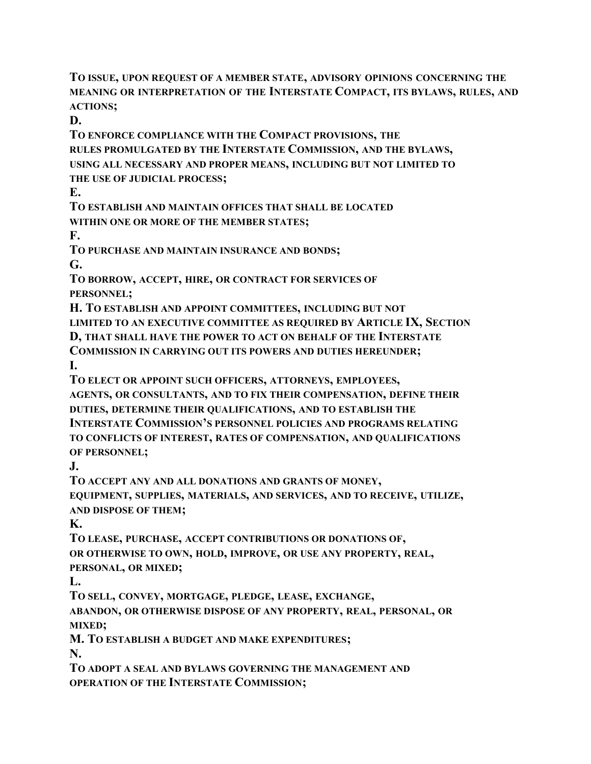**TO ISSUE, UPON REQUEST OF A MEMBER STATE, ADVISORY OPINIONS CONCERNING THE MEANING OR INTERPRETATION OF THE INTERSTATE COMPACT, ITS BYLAWS, RULES, AND ACTIONS;**

**D.**

**TO ENFORCE COMPLIANCE WITH THE COMPACT PROVISIONS, THE RULES PROMULGATED BY THE INTERSTATE COMMISSION, AND THE BYLAWS, USING ALL NECESSARY AND PROPER MEANS, INCLUDING BUT NOT LIMITED TO THE USE OF JUDICIAL PROCESS;**

**E.**

**TO ESTABLISH AND MAINTAIN OFFICES THAT SHALL BE LOCATED**

**WITHIN ONE OR MORE OF THE MEMBER STATES;**

**F.**

**TO PURCHASE AND MAINTAIN INSURANCE AND BONDS;**

**G.**

**TO BORROW, ACCEPT, HIRE, OR CONTRACT FOR SERVICES OF PERSONNEL;**

**H. TO ESTABLISH AND APPOINT COMMITTEES, INCLUDING BUT NOT LIMITED TO AN EXECUTIVE COMMITTEE AS REQUIRED BY ARTICLE IX, SECTION D, THAT SHALL HAVE THE POWER TO ACT ON BEHALF OF THE INTERSTATE COMMISSION IN CARRYING OUT ITS POWERS AND DUTIES HEREUNDER;**

**I.**

**TO ELECT OR APPOINT SUCH OFFICERS, ATTORNEYS, EMPLOYEES, AGENTS, OR CONSULTANTS, AND TO FIX THEIR COMPENSATION, DEFINE THEIR DUTIES, DETERMINE THEIR QUALIFICATIONS, AND TO ESTABLISH THE INTERSTATE COMMISSION'S PERSONNEL POLICIES AND PROGRAMS RELATING TO CONFLICTS OF INTEREST, RATES OF COMPENSATION, AND QUALIFICATIONS OF PERSONNEL;**

**J.**

**TO ACCEPT ANY AND ALL DONATIONS AND GRANTS OF MONEY,**

**EQUIPMENT, SUPPLIES, MATERIALS, AND SERVICES, AND TO RECEIVE, UTILIZE, AND DISPOSE OF THEM;**

**K.**

**TO LEASE, PURCHASE, ACCEPT CONTRIBUTIONS OR DONATIONS OF, OR OTHERWISE TO OWN, HOLD, IMPROVE, OR USE ANY PROPERTY, REAL, PERSONAL, OR MIXED;**

**L.**

**TO SELL, CONVEY, MORTGAGE, PLEDGE, LEASE, EXCHANGE,**

**ABANDON, OR OTHERWISE DISPOSE OF ANY PROPERTY, REAL, PERSONAL, OR MIXED;**

**M. TO ESTABLISH A BUDGET AND MAKE EXPENDITURES; N.**

**TO ADOPT A SEAL AND BYLAWS GOVERNING THE MANAGEMENT AND OPERATION OF THE INTERSTATE COMMISSION;**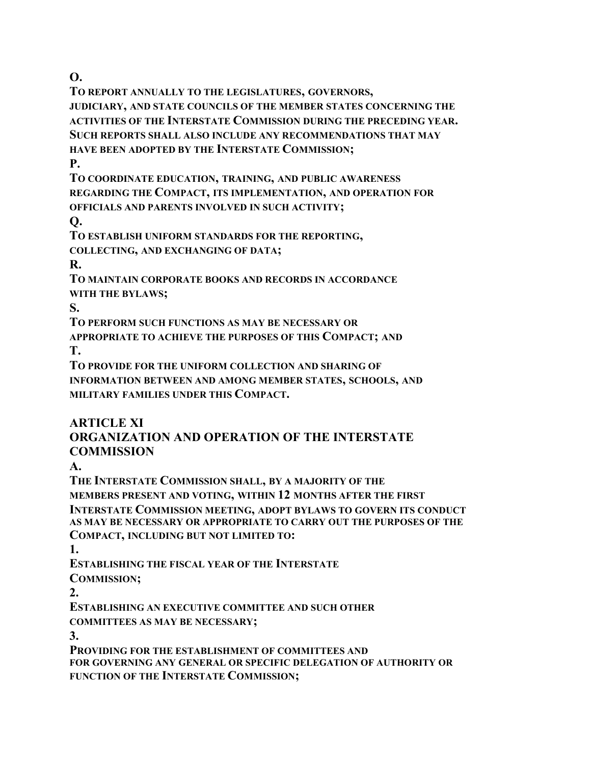**O.**

**TO REPORT ANNUALLY TO THE LEGISLATURES, GOVERNORS, JUDICIARY, AND STATE COUNCILS OF THE MEMBER STATES CONCERNING THE ACTIVITIES OF THE INTERSTATE COMMISSION DURING THE PRECEDING YEAR. SUCH REPORTS SHALL ALSO INCLUDE ANY RECOMMENDATIONS THAT MAY HAVE BEEN ADOPTED BY THE INTERSTATE COMMISSION;**

**P.**

**TO COORDINATE EDUCATION, TRAINING, AND PUBLIC AWARENESS REGARDING THE COMPACT, ITS IMPLEMENTATION, AND OPERATION FOR OFFICIALS AND PARENTS INVOLVED IN SUCH ACTIVITY;**

**Q.**

**TO ESTABLISH UNIFORM STANDARDS FOR THE REPORTING, COLLECTING, AND EXCHANGING OF DATA;**

**R.**

**TO MAINTAIN CORPORATE BOOKS AND RECORDS IN ACCORDANCE WITH THE BYLAWS;**

**S.**

**TO PERFORM SUCH FUNCTIONS AS MAY BE NECESSARY OR**

**APPROPRIATE TO ACHIEVE THE PURPOSES OF THIS COMPACT; AND T.**

**TO PROVIDE FOR THE UNIFORM COLLECTION AND SHARING OF INFORMATION BETWEEN AND AMONG MEMBER STATES, SCHOOLS, AND MILITARY FAMILIES UNDER THIS COMPACT.**

## **ARTICLE XI**

## **ORGANIZATION AND OPERATION OF THE INTERSTATE COMMISSION**

**A.**

**THE INTERSTATE COMMISSION SHALL, BY A MAJORITY OF THE MEMBERS PRESENT AND VOTING, WITHIN 12 MONTHS AFTER THE FIRST INTERSTATE COMMISSION MEETING, ADOPT BYLAWS TO GOVERN ITS CONDUCT AS MAY BE NECESSARY OR APPROPRIATE TO CARRY OUT THE PURPOSES OF THE COMPACT, INCLUDING BUT NOT LIMITED TO:**

**1.**

**ESTABLISHING THE FISCAL YEAR OF THE INTERSTATE**

**COMMISSION;**

**2.**

**ESTABLISHING AN EXECUTIVE COMMITTEE AND SUCH OTHER COMMITTEES AS MAY BE NECESSARY;**

**3.**

**PROVIDING FOR THE ESTABLISHMENT OF COMMITTEES AND FOR GOVERNING ANY GENERAL OR SPECIFIC DELEGATION OF AUTHORITY OR FUNCTION OF THE INTERSTATE COMMISSION;**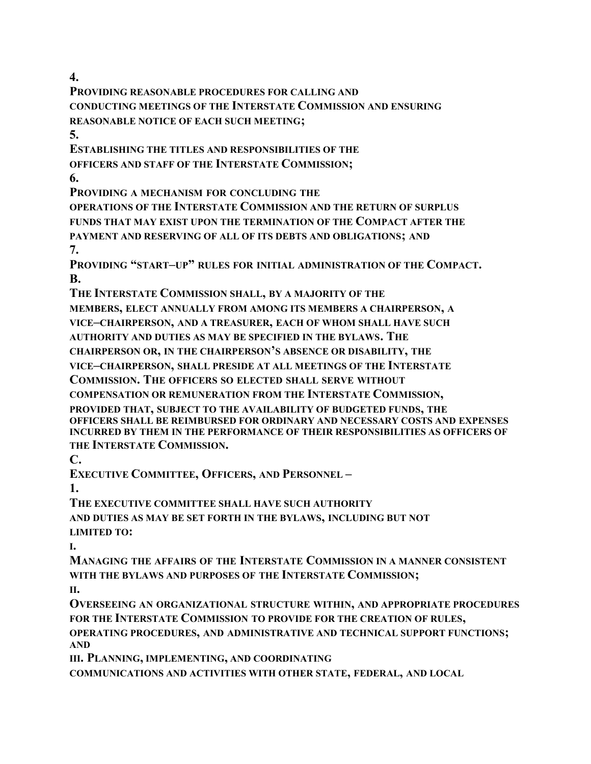**4.**

**PROVIDING REASONABLE PROCEDURES FOR CALLING AND CONDUCTING MEETINGS OF THE INTERSTATE COMMISSION AND ENSURING REASONABLE NOTICE OF EACH SUCH MEETING;**

**5.**

**ESTABLISHING THE TITLES AND RESPONSIBILITIES OF THE OFFICERS AND STAFF OF THE INTERSTATE COMMISSION;**

**6.**

**PROVIDING A MECHANISM FOR CONCLUDING THE**

**OPERATIONS OF THE INTERSTATE COMMISSION AND THE RETURN OF SURPLUS FUNDS THAT MAY EXIST UPON THE TERMINATION OF THE COMPACT AFTER THE PAYMENT AND RESERVING OF ALL OF ITS DEBTS AND OBLIGATIONS; AND 7.**

**PROVIDING "START–UP" RULES FOR INITIAL ADMINISTRATION OF THE COMPACT. B.**

**THE INTERSTATE COMMISSION SHALL, BY A MAJORITY OF THE**

**MEMBERS, ELECT ANNUALLY FROM AMONG ITS MEMBERS A CHAIRPERSON, A**

**VICE–CHAIRPERSON, AND A TREASURER, EACH OF WHOM SHALL HAVE SUCH**

**AUTHORITY AND DUTIES AS MAY BE SPECIFIED IN THE BYLAWS. THE**

**CHAIRPERSON OR, IN THE CHAIRPERSON'S ABSENCE OR DISABILITY, THE**

**VICE–CHAIRPERSON, SHALL PRESIDE AT ALL MEETINGS OF THE INTERSTATE**

**COMMISSION. THE OFFICERS SO ELECTED SHALL SERVE WITHOUT**

**COMPENSATION OR REMUNERATION FROM THE INTERSTATE COMMISSION,**

**PROVIDED THAT, SUBJECT TO THE AVAILABILITY OF BUDGETED FUNDS, THE OFFICERS SHALL BE REIMBURSED FOR ORDINARY AND NECESSARY COSTS AND EXPENSES INCURRED BY THEM IN THE PERFORMANCE OF THEIR RESPONSIBILITIES AS OFFICERS OF THE INTERSTATE COMMISSION.**

**C.**

**EXECUTIVE COMMITTEE, OFFICERS, AND PERSONNEL –**

**1.**

**THE EXECUTIVE COMMITTEE SHALL HAVE SUCH AUTHORITY**

**AND DUTIES AS MAY BE SET FORTH IN THE BYLAWS, INCLUDING BUT NOT LIMITED TO:**

**I.**

**MANAGING THE AFFAIRS OF THE INTERSTATE COMMISSION IN A MANNER CONSISTENT WITH THE BYLAWS AND PURPOSES OF THE INTERSTATE COMMISSION;**

**II.**

**OVERSEEING AN ORGANIZATIONAL STRUCTURE WITHIN, AND APPROPRIATE PROCEDURES FOR THE INTERSTATE COMMISSION TO PROVIDE FOR THE CREATION OF RULES, OPERATING PROCEDURES, AND ADMINISTRATIVE AND TECHNICAL SUPPORT FUNCTIONS; AND**

**III. PLANNING, IMPLEMENTING, AND COORDINATING**

**COMMUNICATIONS AND ACTIVITIES WITH OTHER STATE, FEDERAL, AND LOCAL**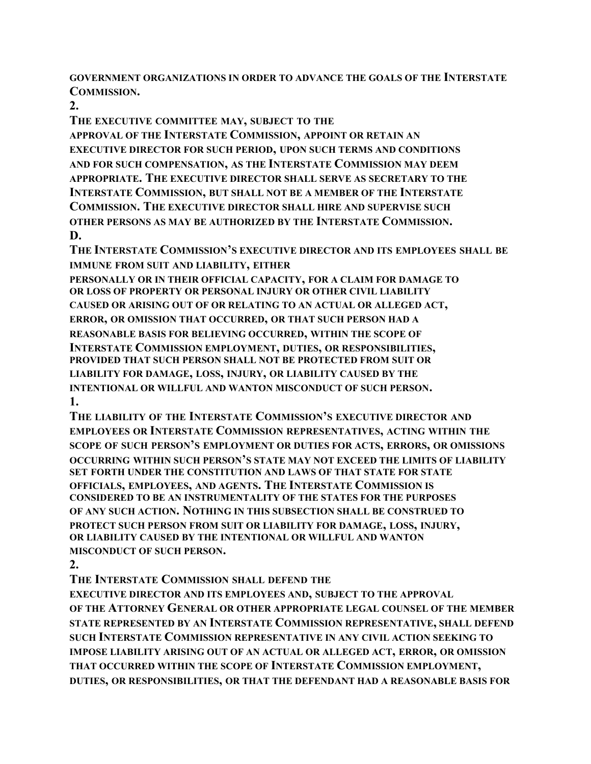**GOVERNMENT ORGANIZATIONS IN ORDER TO ADVANCE THE GOALS OF THE INTERSTATE COMMISSION.**

**2.**

**THE EXECUTIVE COMMITTEE MAY, SUBJECT TO THE**

**APPROVAL OF THE INTERSTATE COMMISSION, APPOINT OR RETAIN AN EXECUTIVE DIRECTOR FOR SUCH PERIOD, UPON SUCH TERMS AND CONDITIONS AND FOR SUCH COMPENSATION, AS THE INTERSTATE COMMISSION MAY DEEM APPROPRIATE. THE EXECUTIVE DIRECTOR SHALL SERVE AS SECRETARY TO THE INTERSTATE COMMISSION, BUT SHALL NOT BE A MEMBER OF THE INTERSTATE COMMISSION. THE EXECUTIVE DIRECTOR SHALL HIRE AND SUPERVISE SUCH OTHER PERSONS AS MAY BE AUTHORIZED BY THE INTERSTATE COMMISSION. D.**

**THE INTERSTATE COMMISSION'S EXECUTIVE DIRECTOR AND ITS EMPLOYEES SHALL BE IMMUNE FROM SUIT AND LIABILITY, EITHER**

**PERSONALLY OR IN THEIR OFFICIAL CAPACITY, FOR A CLAIM FOR DAMAGE TO OR LOSS OF PROPERTY OR PERSONAL INJURY OR OTHER CIVIL LIABILITY CAUSED OR ARISING OUT OF OR RELATING TO AN ACTUAL OR ALLEGED ACT, ERROR, OR OMISSION THAT OCCURRED, OR THAT SUCH PERSON HAD A REASONABLE BASIS FOR BELIEVING OCCURRED, WITHIN THE SCOPE OF INTERSTATE COMMISSION EMPLOYMENT, DUTIES, OR RESPONSIBILITIES, PROVIDED THAT SUCH PERSON SHALL NOT BE PROTECTED FROM SUIT OR LIABILITY FOR DAMAGE, LOSS, INJURY, OR LIABILITY CAUSED BY THE INTENTIONAL OR WILLFUL AND WANTON MISCONDUCT OF SUCH PERSON. 1.**

**THE LIABILITY OF THE INTERSTATE COMMISSION'S EXECUTIVE DIRECTOR AND EMPLOYEES OR INTERSTATE COMMISSION REPRESENTATIVES, ACTING WITHIN THE SCOPE OF SUCH PERSON'S EMPLOYMENT OR DUTIES FOR ACTS, ERRORS, OR OMISSIONS OCCURRING WITHIN SUCH PERSON'S STATE MAY NOT EXCEED THE LIMITS OF LIABILITY SET FORTH UNDER THE CONSTITUTION AND LAWS OF THAT STATE FOR STATE OFFICIALS, EMPLOYEES, AND AGENTS. THE INTERSTATE COMMISSION IS CONSIDERED TO BE AN INSTRUMENTALITY OF THE STATES FOR THE PURPOSES OF ANY SUCH ACTION. NOTHING IN THIS SUBSECTION SHALL BE CONSTRUED TO PROTECT SUCH PERSON FROM SUIT OR LIABILITY FOR DAMAGE, LOSS, INJURY, OR LIABILITY CAUSED BY THE INTENTIONAL OR WILLFUL AND WANTON MISCONDUCT OF SUCH PERSON.**

**2.**

**THE INTERSTATE COMMISSION SHALL DEFEND THE**

**EXECUTIVE DIRECTOR AND ITS EMPLOYEES AND, SUBJECT TO THE APPROVAL OF THE ATTORNEY GENERAL OR OTHER APPROPRIATE LEGAL COUNSEL OF THE MEMBER STATE REPRESENTED BY AN INTERSTATE COMMISSION REPRESENTATIVE, SHALL DEFEND SUCH INTERSTATE COMMISSION REPRESENTATIVE IN ANY CIVIL ACTION SEEKING TO IMPOSE LIABILITY ARISING OUT OF AN ACTUAL OR ALLEGED ACT, ERROR, OR OMISSION THAT OCCURRED WITHIN THE SCOPE OF INTERSTATE COMMISSION EMPLOYMENT, DUTIES, OR RESPONSIBILITIES, OR THAT THE DEFENDANT HAD A REASONABLE BASIS FOR**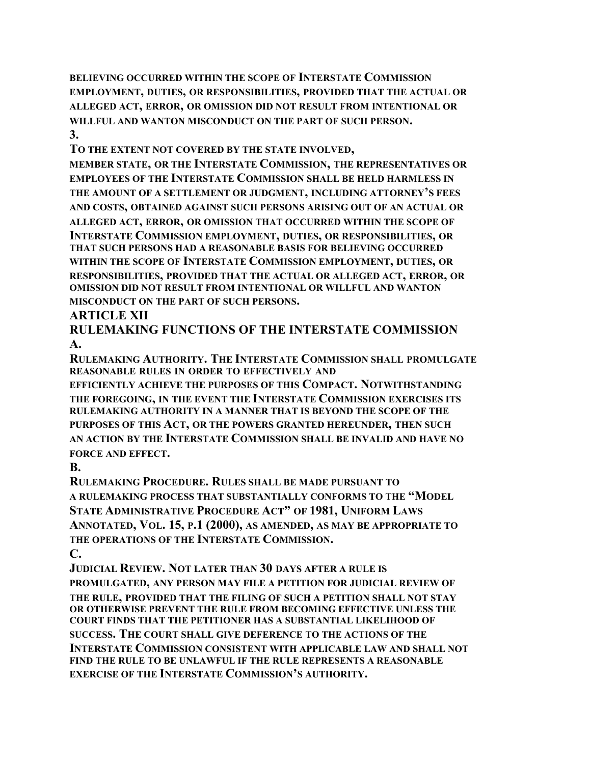**BELIEVING OCCURRED WITHIN THE SCOPE OF INTERSTATE COMMISSION EMPLOYMENT, DUTIES, OR RESPONSIBILITIES, PROVIDED THAT THE ACTUAL OR ALLEGED ACT, ERROR, OR OMISSION DID NOT RESULT FROM INTENTIONAL OR WILLFUL AND WANTON MISCONDUCT ON THE PART OF SUCH PERSON. 3.**

**TO THE EXTENT NOT COVERED BY THE STATE INVOLVED,**

**MEMBER STATE, OR THE INTERSTATE COMMISSION, THE REPRESENTATIVES OR EMPLOYEES OF THE INTERSTATE COMMISSION SHALL BE HELD HARMLESS IN THE AMOUNT OF A SETTLEMENT OR JUDGMENT, INCLUDING ATTORNEY'S FEES AND COSTS, OBTAINED AGAINST SUCH PERSONS ARISING OUT OF AN ACTUAL OR ALLEGED ACT, ERROR, OR OMISSION THAT OCCURRED WITHIN THE SCOPE OF INTERSTATE COMMISSION EMPLOYMENT, DUTIES, OR RESPONSIBILITIES, OR THAT SUCH PERSONS HAD A REASONABLE BASIS FOR BELIEVING OCCURRED WITHIN THE SCOPE OF INTERSTATE COMMISSION EMPLOYMENT, DUTIES, OR RESPONSIBILITIES, PROVIDED THAT THE ACTUAL OR ALLEGED ACT, ERROR, OR OMISSION DID NOT RESULT FROM INTENTIONAL OR WILLFUL AND WANTON MISCONDUCT ON THE PART OF SUCH PERSONS.**

### **ARTICLE XII**

**RULEMAKING FUNCTIONS OF THE INTERSTATE COMMISSION A.**

**RULEMAKING AUTHORITY. THE INTERSTATE COMMISSION SHALL PROMULGATE REASONABLE RULES IN ORDER TO EFFECTIVELY AND**

**EFFICIENTLY ACHIEVE THE PURPOSES OF THIS COMPACT. NOTWITHSTANDING THE FOREGOING, IN THE EVENT THE INTERSTATE COMMISSION EXERCISES ITS RULEMAKING AUTHORITY IN A MANNER THAT IS BEYOND THE SCOPE OF THE PURPOSES OF THIS ACT, OR THE POWERS GRANTED HEREUNDER, THEN SUCH AN ACTION BY THE INTERSTATE COMMISSION SHALL BE INVALID AND HAVE NO FORCE AND EFFECT.**

#### **B.**

**RULEMAKING PROCEDURE. RULES SHALL BE MADE PURSUANT TO A RULEMAKING PROCESS THAT SUBSTANTIALLY CONFORMS TO THE "MODEL STATE ADMINISTRATIVE PROCEDURE ACT" OF 1981, UNIFORM LAWS ANNOTATED, VOL. 15, P.1 (2000), AS AMENDED, AS MAY BE APPROPRIATE TO THE OPERATIONS OF THE INTERSTATE COMMISSION. C.**

**JUDICIAL REVIEW. NOT LATER THAN 30 DAYS AFTER A RULE IS PROMULGATED, ANY PERSON MAY FILE A PETITION FOR JUDICIAL REVIEW OF THE RULE, PROVIDED THAT THE FILING OF SUCH A PETITION SHALL NOT STAY OR OTHERWISE PREVENT THE RULE FROM BECOMING EFFECTIVE UNLESS THE COURT FINDS THAT THE PETITIONER HAS A SUBSTANTIAL LIKELIHOOD OF SUCCESS. THE COURT SHALL GIVE DEFERENCE TO THE ACTIONS OF THE INTERSTATE COMMISSION CONSISTENT WITH APPLICABLE LAW AND SHALL NOT FIND THE RULE TO BE UNLAWFUL IF THE RULE REPRESENTS A REASONABLE EXERCISE OF THE INTERSTATE COMMISSION'S AUTHORITY.**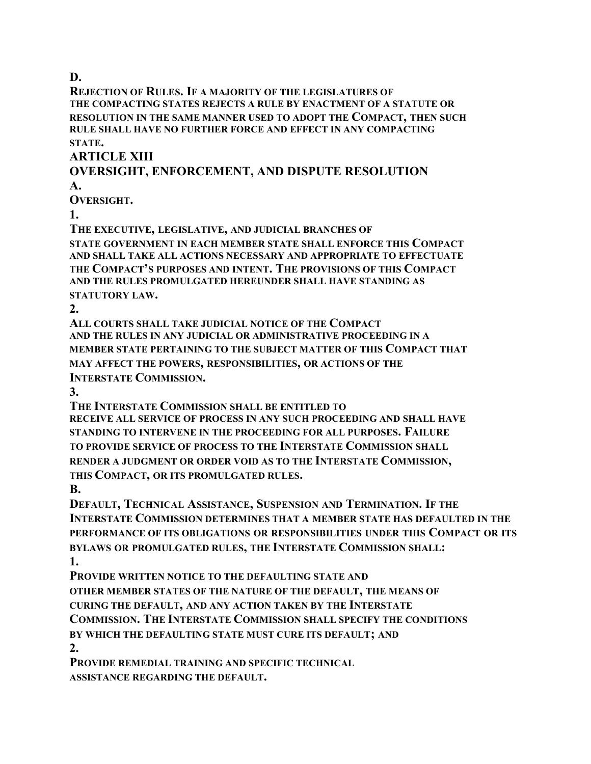**D.**

**REJECTION OF RULES. IF A MAJORITY OF THE LEGISLATURES OF THE COMPACTING STATES REJECTS A RULE BY ENACTMENT OF A STATUTE OR RESOLUTION IN THE SAME MANNER USED TO ADOPT THE COMPACT, THEN SUCH RULE SHALL HAVE NO FURTHER FORCE AND EFFECT IN ANY COMPACTING STATE.**

**ARTICLE XIII**

### **OVERSIGHT, ENFORCEMENT, AND DISPUTE RESOLUTION A.**

**OVERSIGHT.**

**1.**

**THE EXECUTIVE, LEGISLATIVE, AND JUDICIAL BRANCHES OF**

**STATE GOVERNMENT IN EACH MEMBER STATE SHALL ENFORCE THIS COMPACT AND SHALL TAKE ALL ACTIONS NECESSARY AND APPROPRIATE TO EFFECTUATE THE COMPACT'S PURPOSES AND INTENT. THE PROVISIONS OF THIS COMPACT AND THE RULES PROMULGATED HEREUNDER SHALL HAVE STANDING AS STATUTORY LAW.**

**2.**

**ALL COURTS SHALL TAKE JUDICIAL NOTICE OF THE COMPACT AND THE RULES IN ANY JUDICIAL OR ADMINISTRATIVE PROCEEDING IN A MEMBER STATE PERTAINING TO THE SUBJECT MATTER OF THIS COMPACT THAT MAY AFFECT THE POWERS, RESPONSIBILITIES, OR ACTIONS OF THE INTERSTATE COMMISSION.**

**3.**

**THE INTERSTATE COMMISSION SHALL BE ENTITLED TO**

**RECEIVE ALL SERVICE OF PROCESS IN ANY SUCH PROCEEDING AND SHALL HAVE STANDING TO INTERVENE IN THE PROCEEDING FOR ALL PURPOSES. FAILURE TO PROVIDE SERVICE OF PROCESS TO THE INTERSTATE COMMISSION SHALL RENDER A JUDGMENT OR ORDER VOID AS TO THE INTERSTATE COMMISSION, THIS COMPACT, OR ITS PROMULGATED RULES.**

**B.**

**DEFAULT, TECHNICAL ASSISTANCE, SUSPENSION AND TERMINATION. IF THE INTERSTATE COMMISSION DETERMINES THAT A MEMBER STATE HAS DEFAULTED IN THE PERFORMANCE OF ITS OBLIGATIONS OR RESPONSIBILITIES UNDER THIS COMPACT OR ITS BYLAWS OR PROMULGATED RULES, THE INTERSTATE COMMISSION SHALL:**

**1.**

**PROVIDE WRITTEN NOTICE TO THE DEFAULTING STATE AND**

**OTHER MEMBER STATES OF THE NATURE OF THE DEFAULT, THE MEANS OF**

**CURING THE DEFAULT, AND ANY ACTION TAKEN BY THE INTERSTATE**

**COMMISSION. THE INTERSTATE COMMISSION SHALL SPECIFY THE CONDITIONS**

**BY WHICH THE DEFAULTING STATE MUST CURE ITS DEFAULT; AND**

**2.**

**PROVIDE REMEDIAL TRAINING AND SPECIFIC TECHNICAL ASSISTANCE REGARDING THE DEFAULT.**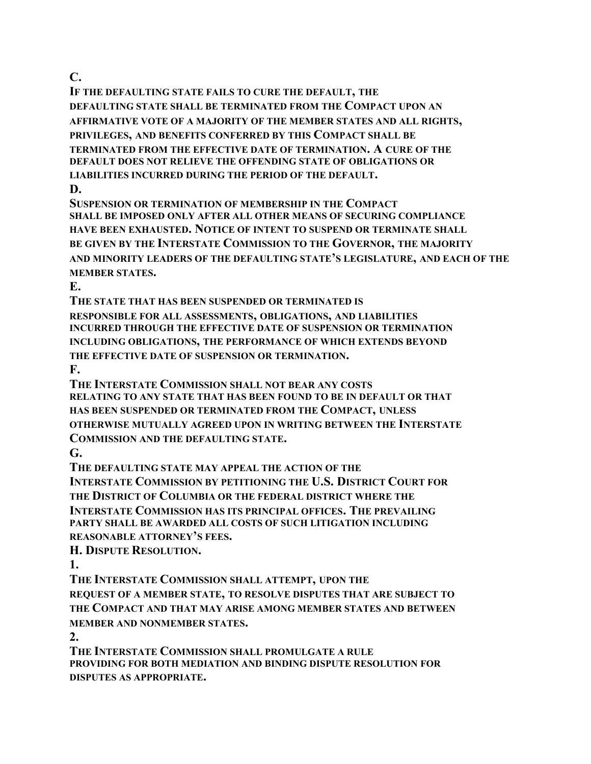**C.**

**IF THE DEFAULTING STATE FAILS TO CURE THE DEFAULT, THE DEFAULTING STATE SHALL BE TERMINATED FROM THE COMPACT UPON AN AFFIRMATIVE VOTE OF A MAJORITY OF THE MEMBER STATES AND ALL RIGHTS, PRIVILEGES, AND BENEFITS CONFERRED BY THIS COMPACT SHALL BE TERMINATED FROM THE EFFECTIVE DATE OF TERMINATION. A CURE OF THE DEFAULT DOES NOT RELIEVE THE OFFENDING STATE OF OBLIGATIONS OR LIABILITIES INCURRED DURING THE PERIOD OF THE DEFAULT.**

**D.**

**SUSPENSION OR TERMINATION OF MEMBERSHIP IN THE COMPACT SHALL BE IMPOSED ONLY AFTER ALL OTHER MEANS OF SECURING COMPLIANCE HAVE BEEN EXHAUSTED. NOTICE OF INTENT TO SUSPEND OR TERMINATE SHALL BE GIVEN BY THE INTERSTATE COMMISSION TO THE GOVERNOR, THE MAJORITY AND MINORITY LEADERS OF THE DEFAULTING STATE'S LEGISLATURE, AND EACH OF THE MEMBER STATES.**

**E.**

**THE STATE THAT HAS BEEN SUSPENDED OR TERMINATED IS RESPONSIBLE FOR ALL ASSESSMENTS, OBLIGATIONS, AND LIABILITIES INCURRED THROUGH THE EFFECTIVE DATE OF SUSPENSION OR TERMINATION INCLUDING OBLIGATIONS, THE PERFORMANCE OF WHICH EXTENDS BEYOND THE EFFECTIVE DATE OF SUSPENSION OR TERMINATION.**

**F.**

**THE INTERSTATE COMMISSION SHALL NOT BEAR ANY COSTS RELATING TO ANY STATE THAT HAS BEEN FOUND TO BE IN DEFAULT OR THAT HAS BEEN SUSPENDED OR TERMINATED FROM THE COMPACT, UNLESS OTHERWISE MUTUALLY AGREED UPON IN WRITING BETWEEN THE INTERSTATE COMMISSION AND THE DEFAULTING STATE.**

**G.**

**THE DEFAULTING STATE MAY APPEAL THE ACTION OF THE**

**INTERSTATE COMMISSION BY PETITIONING THE U.S. DISTRICT COURT FOR THE DISTRICT OF COLUMBIA OR THE FEDERAL DISTRICT WHERE THE INTERSTATE COMMISSION HAS ITS PRINCIPAL OFFICES. THE PREVAILING PARTY SHALL BE AWARDED ALL COSTS OF SUCH LITIGATION INCLUDING REASONABLE ATTORNEY'S FEES.**

**H. DISPUTE RESOLUTION.**

**1.**

**THE INTERSTATE COMMISSION SHALL ATTEMPT, UPON THE**

**REQUEST OF A MEMBER STATE, TO RESOLVE DISPUTES THAT ARE SUBJECT TO THE COMPACT AND THAT MAY ARISE AMONG MEMBER STATES AND BETWEEN MEMBER AND NONMEMBER STATES.**

**2.**

**THE INTERSTATE COMMISSION SHALL PROMULGATE A RULE PROVIDING FOR BOTH MEDIATION AND BINDING DISPUTE RESOLUTION FOR DISPUTES AS APPROPRIATE.**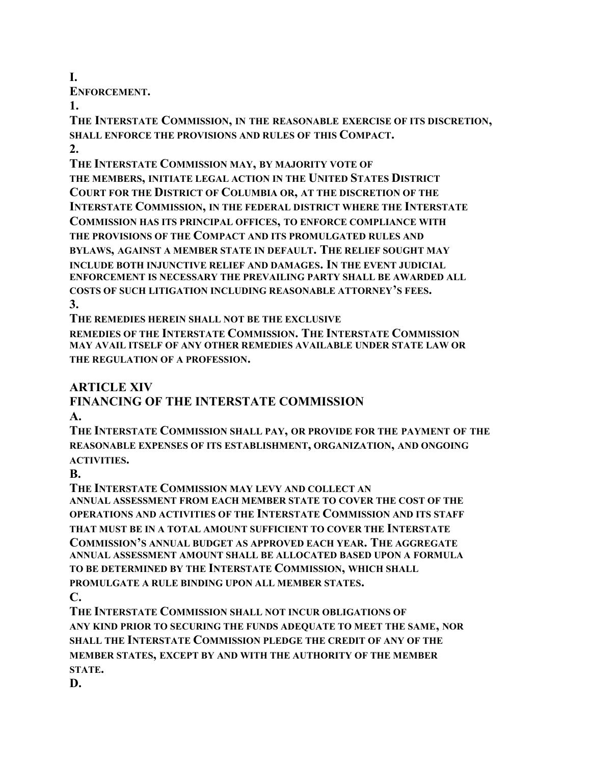**I.**

**ENFORCEMENT.**

**1.**

**THE INTERSTATE COMMISSION, IN THE REASONABLE EXERCISE OF ITS DISCRETION, SHALL ENFORCE THE PROVISIONS AND RULES OF THIS COMPACT. 2.**

**THE INTERSTATE COMMISSION MAY, BY MAJORITY VOTE OF THE MEMBERS, INITIATE LEGAL ACTION IN THE UNITED STATES DISTRICT COURT FOR THE DISTRICT OF COLUMBIA OR, AT THE DISCRETION OF THE INTERSTATE COMMISSION, IN THE FEDERAL DISTRICT WHERE THE INTERSTATE COMMISSION HAS ITS PRINCIPAL OFFICES, TO ENFORCE COMPLIANCE WITH THE PROVISIONS OF THE COMPACT AND ITS PROMULGATED RULES AND BYLAWS, AGAINST A MEMBER STATE IN DEFAULT. THE RELIEF SOUGHT MAY INCLUDE BOTH INJUNCTIVE RELIEF AND DAMAGES. IN THE EVENT JUDICIAL ENFORCEMENT IS NECESSARY THE PREVAILING PARTY SHALL BE AWARDED ALL COSTS OF SUCH LITIGATION INCLUDING REASONABLE ATTORNEY'S FEES. 3.**

**THE REMEDIES HEREIN SHALL NOT BE THE EXCLUSIVE**

**REMEDIES OF THE INTERSTATE COMMISSION. THE INTERSTATE COMMISSION MAY AVAIL ITSELF OF ANY OTHER REMEDIES AVAILABLE UNDER STATE LAW OR THE REGULATION OF A PROFESSION.**

**ARTICLE XIV**

#### **FINANCING OF THE INTERSTATE COMMISSION A.**

**THE INTERSTATE COMMISSION SHALL PAY, OR PROVIDE FOR THE PAYMENT OF THE REASONABLE EXPENSES OF ITS ESTABLISHMENT, ORGANIZATION, AND ONGOING ACTIVITIES.**

**B.**

**THE INTERSTATE COMMISSION MAY LEVY AND COLLECT AN ANNUAL ASSESSMENT FROM EACH MEMBER STATE TO COVER THE COST OF THE OPERATIONS AND ACTIVITIES OF THE INTERSTATE COMMISSION AND ITS STAFF THAT MUST BE IN A TOTAL AMOUNT SUFFICIENT TO COVER THE INTERSTATE COMMISSION'S ANNUAL BUDGET AS APPROVED EACH YEAR. THE AGGREGATE ANNUAL ASSESSMENT AMOUNT SHALL BE ALLOCATED BASED UPON A FORMULA TO BE DETERMINED BY THE INTERSTATE COMMISSION, WHICH SHALL PROMULGATE A RULE BINDING UPON ALL MEMBER STATES. C.**

**THE INTERSTATE COMMISSION SHALL NOT INCUR OBLIGATIONS OF ANY KIND PRIOR TO SECURING THE FUNDS ADEQUATE TO MEET THE SAME, NOR SHALL THE INTERSTATE COMMISSION PLEDGE THE CREDIT OF ANY OF THE MEMBER STATES, EXCEPT BY AND WITH THE AUTHORITY OF THE MEMBER STATE.**

**D.**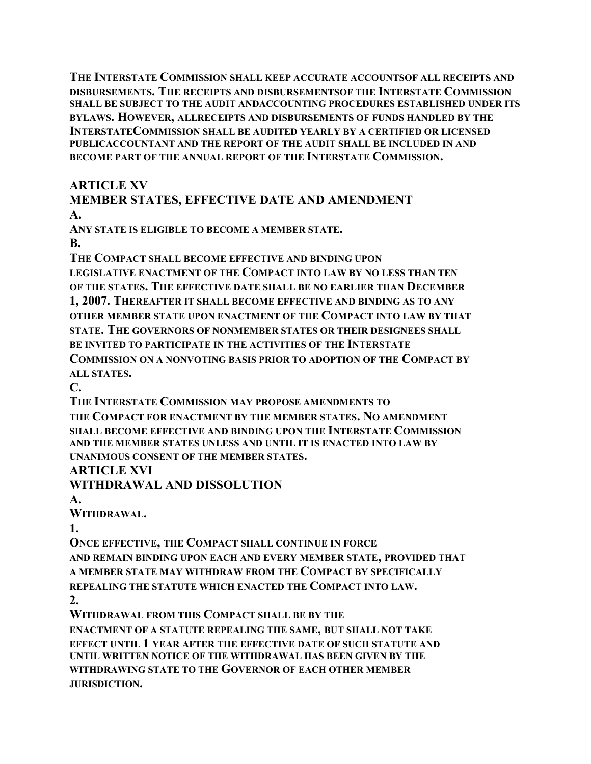**THE INTERSTATE COMMISSION SHALL KEEP ACCURATE ACCOUNTSOF ALL RECEIPTS AND DISBURSEMENTS. THE RECEIPTS AND DISBURSEMENTSOF THE INTERSTATE COMMISSION SHALL BE SUBJECT TO THE AUDIT ANDACCOUNTING PROCEDURES ESTABLISHED UNDER ITS BYLAWS. HOWEVER, ALLRECEIPTS AND DISBURSEMENTS OF FUNDS HANDLED BY THE INTERSTATECOMMISSION SHALL BE AUDITED YEARLY BY A CERTIFIED OR LICENSED PUBLICACCOUNTANT AND THE REPORT OF THE AUDIT SHALL BE INCLUDED IN AND BECOME PART OF THE ANNUAL REPORT OF THE INTERSTATE COMMISSION.**

### **ARTICLE XV**

#### **MEMBER STATES, EFFECTIVE DATE AND AMENDMENT A.**

**ANY STATE IS ELIGIBLE TO BECOME A MEMBER STATE. B.**

**THE COMPACT SHALL BECOME EFFECTIVE AND BINDING UPON LEGISLATIVE ENACTMENT OF THE COMPACT INTO LAW BY NO LESS THAN TEN OF THE STATES. THE EFFECTIVE DATE SHALL BE NO EARLIER THAN DECEMBER 1, 2007. THEREAFTER IT SHALL BECOME EFFECTIVE AND BINDING AS TO ANY OTHER MEMBER STATE UPON ENACTMENT OF THE COMPACT INTO LAW BY THAT STATE. THE GOVERNORS OF NONMEMBER STATES OR THEIR DESIGNEES SHALL BE INVITED TO PARTICIPATE IN THE ACTIVITIES OF THE INTERSTATE**

**COMMISSION ON A NONVOTING BASIS PRIOR TO ADOPTION OF THE COMPACT BY ALL STATES.**

**C.**

**THE INTERSTATE COMMISSION MAY PROPOSE AMENDMENTS TO**

**THE COMPACT FOR ENACTMENT BY THE MEMBER STATES. NO AMENDMENT SHALL BECOME EFFECTIVE AND BINDING UPON THE INTERSTATE COMMISSION AND THE MEMBER STATES UNLESS AND UNTIL IT IS ENACTED INTO LAW BY UNANIMOUS CONSENT OF THE MEMBER STATES.**

### **ARTICLE XVI**

**WITHDRAWAL AND DISSOLUTION**

**A.**

**WITHDRAWAL.**

**1.**

**ONCE EFFECTIVE, THE COMPACT SHALL CONTINUE IN FORCE AND REMAIN BINDING UPON EACH AND EVERY MEMBER STATE, PROVIDED THAT A MEMBER STATE MAY WITHDRAW FROM THE COMPACT BY SPECIFICALLY REPEALING THE STATUTE WHICH ENACTED THE COMPACT INTO LAW. 2.**

**WITHDRAWAL FROM THIS COMPACT SHALL BE BY THE**

**ENACTMENT OF A STATUTE REPEALING THE SAME, BUT SHALL NOT TAKE EFFECT UNTIL 1 YEAR AFTER THE EFFECTIVE DATE OF SUCH STATUTE AND UNTIL WRITTEN NOTICE OF THE WITHDRAWAL HAS BEEN GIVEN BY THE WITHDRAWING STATE TO THE GOVERNOR OF EACH OTHER MEMBER JURISDICTION.**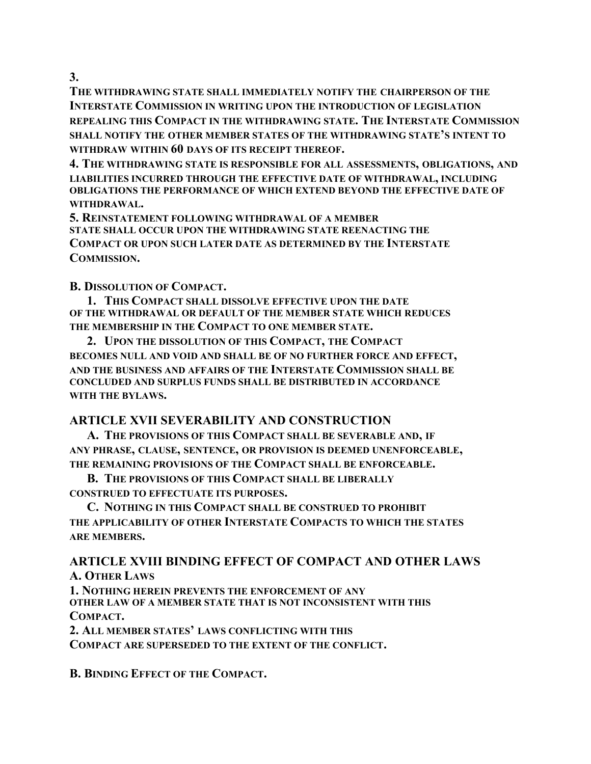**3.**

**THE WITHDRAWING STATE SHALL IMMEDIATELY NOTIFY THE CHAIRPERSON OF THE INTERSTATE COMMISSION IN WRITING UPON THE INTRODUCTION OF LEGISLATION REPEALING THIS COMPACT IN THE WITHDRAWING STATE. THE INTERSTATE COMMISSION SHALL NOTIFY THE OTHER MEMBER STATES OF THE WITHDRAWING STATE'S INTENT TO WITHDRAW WITHIN 60 DAYS OF ITS RECEIPT THEREOF.**

**4. THE WITHDRAWING STATE IS RESPONSIBLE FOR ALL ASSESSMENTS, OBLIGATIONS, AND LIABILITIES INCURRED THROUGH THE EFFECTIVE DATE OF WITHDRAWAL, INCLUDING OBLIGATIONS THE PERFORMANCE OF WHICH EXTEND BEYOND THE EFFECTIVE DATE OF WITHDRAWAL.**

**5. REINSTATEMENT FOLLOWING WITHDRAWAL OF A MEMBER STATE SHALL OCCUR UPON THE WITHDRAWING STATE REENACTING THE COMPACT OR UPON SUCH LATER DATE AS DETERMINED BY THE INTERSTATE COMMISSION.**

**B. DISSOLUTION OF COMPACT.**

**1. THIS COMPACT SHALL DISSOLVE EFFECTIVE UPON THE DATE OF THE WITHDRAWAL OR DEFAULT OF THE MEMBER STATE WHICH REDUCES THE MEMBERSHIP IN THE COMPACT TO ONE MEMBER STATE.**

**2. UPON THE DISSOLUTION OF THIS COMPACT, THE COMPACT BECOMES NULL AND VOID AND SHALL BE OF NO FURTHER FORCE AND EFFECT, AND THE BUSINESS AND AFFAIRS OF THE INTERSTATE COMMISSION SHALL BE CONCLUDED AND SURPLUS FUNDS SHALL BE DISTRIBUTED IN ACCORDANCE WITH THE BYLAWS.**

### **ARTICLE XVII SEVERABILITY AND CONSTRUCTION**

**A. THE PROVISIONS OF THIS COMPACT SHALL BE SEVERABLE AND, IF ANY PHRASE, CLAUSE, SENTENCE, OR PROVISION IS DEEMED UNENFORCEABLE, THE REMAINING PROVISIONS OF THE COMPACT SHALL BE ENFORCEABLE.**

**B. THE PROVISIONS OF THIS COMPACT SHALL BE LIBERALLY CONSTRUED TO EFFECTUATE ITS PURPOSES.**

**C. NOTHING IN THIS COMPACT SHALL BE CONSTRUED TO PROHIBIT THE APPLICABILITY OF OTHER INTERSTATE COMPACTS TO WHICH THE STATES ARE MEMBERS.**

### **ARTICLE XVIII BINDING EFFECT OF COMPACT AND OTHER LAWS A. OTHER LAWS**

**1. NOTHING HEREIN PREVENTS THE ENFORCEMENT OF ANY OTHER LAW OF A MEMBER STATE THAT IS NOT INCONSISTENT WITH THIS COMPACT.**

**2. ALL MEMBER STATES' LAWS CONFLICTING WITH THIS COMPACT ARE SUPERSEDED TO THE EXTENT OF THE CONFLICT.**

**B. BINDING EFFECT OF THE COMPACT.**